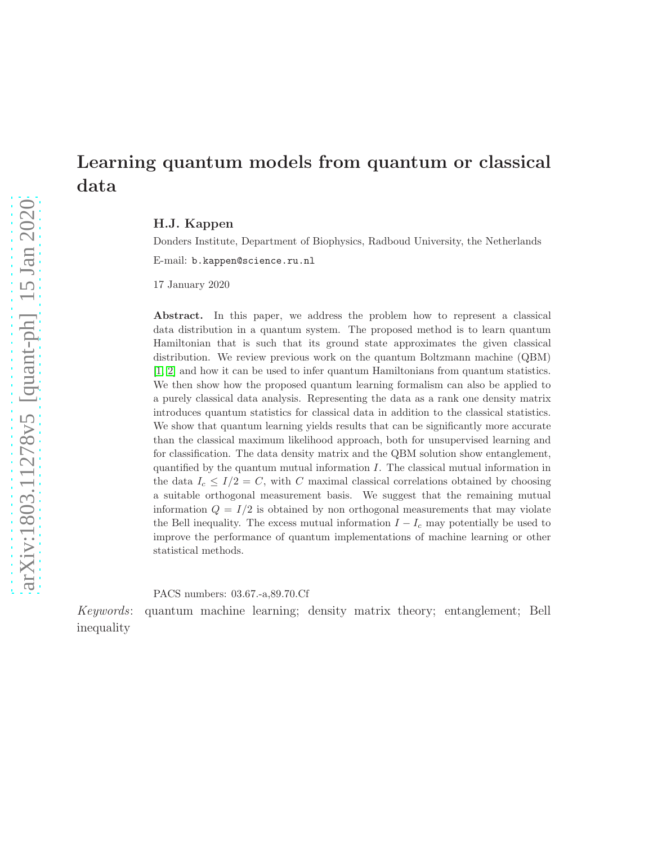# Learning quantum models from quantum or classical data

H.J. Kappen

Donders Institute, Department of Biophysics, Radboud University, the Netherlands E-mail: b.kappen@science.ru.nl

17 January 2020

Abstract. In this paper, we address the problem how to represent a classical data distribution in a quantum system. The proposed method is to learn quantum Hamiltonian that is such that its ground state approximates the given classical distribution. We review previous work on the quantum Boltzmann machine (QBM) [\[1,](#page-19-0) [2\]](#page-19-1) and how it can be used to infer quantum Hamiltonians from quantum statistics. We then show how the proposed quantum learning formalism can also be applied to a purely classical data analysis. Representing the data as a rank one density matrix introduces quantum statistics for classical data in addition to the classical statistics. We show that quantum learning yields results that can be significantly more accurate than the classical maximum likelihood approach, both for unsupervised learning and for classification. The data density matrix and the QBM solution show entanglement, quantified by the quantum mutual information  $I$ . The classical mutual information in the data  $I_c \leq I/2 = C$ , with C maximal classical correlations obtained by choosing a suitable orthogonal measurement basis. We suggest that the remaining mutual information  $Q = I/2$  is obtained by non orthogonal measurements that may violate the Bell inequality. The excess mutual information  $I - I_c$  may potentially be used to improve the performance of quantum implementations of machine learning or other statistical methods.

PACS numbers: 03.67.-a,89.70.Cf

Keywords: quantum machine learning; density matrix theory; entanglement; Bell inequality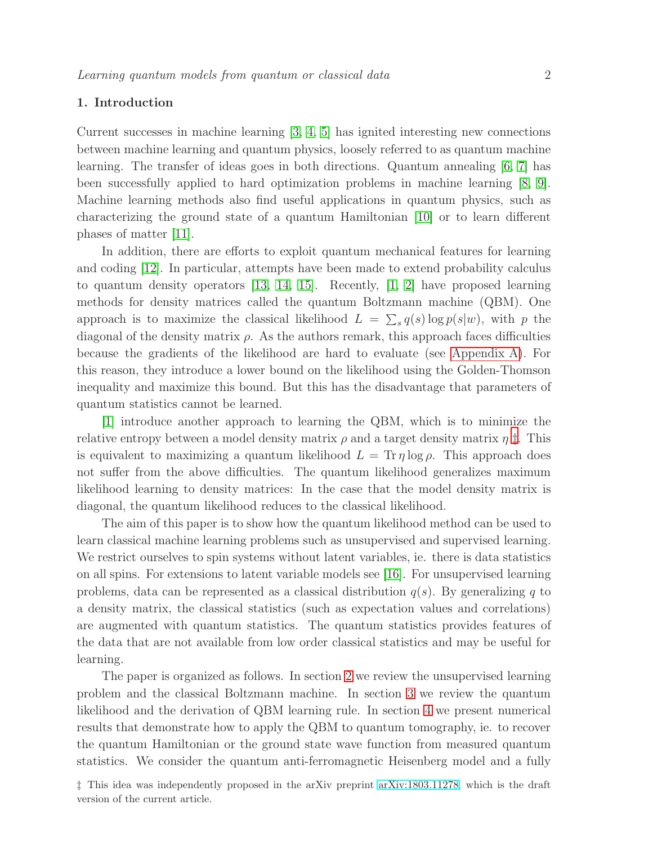# 1. Introduction

Current successes in machine learning  $\begin{bmatrix} 3, 4, 5 \end{bmatrix}$  $\begin{bmatrix} 3, 4, 5 \end{bmatrix}$  $\begin{bmatrix} 3, 4, 5 \end{bmatrix}$  has ignited interesting new connections between machine learning and quantum physics, loosely referred to as quantum machine learning. The transfer of ideas goes in both directions. Quantum annealing [\[6,](#page-19-5) [7\]](#page-19-6) has been successfully applied to hard optimization problems in machine learning [\[8,](#page-19-7) [9\]](#page-19-8). Machine learning methods also find useful applications in quantum physics, such as characterizing the ground state of a quantum Hamiltonian [\[10\]](#page-20-0) or to learn different phases of matter [\[11\]](#page-20-1).

In addition, there are efforts to exploit quantum mechanical features for learning and coding [\[12\]](#page-20-2). In particular, attempts have been made to extend probability calculus to quantum density operators [\[13,](#page-20-3) [14,](#page-20-4) [15\]](#page-20-5). Recently, [\[1,](#page-19-0) [2\]](#page-19-1) have proposed learning methods for density matrices called the quantum Boltzmann machine (QBM). One approach is to maximize the classical likelihood  $L = \sum_s q(s) \log p(s|w)$ , with p the diagonal of the density matrix  $\rho$ . As the authors remark, this approach faces difficulties because the gradients of the likelihood are hard to evaluate (see [Appendix A\)](#page-21-0). For this reason, they introduce a lower bound on the likelihood using the Golden-Thomson inequality and maximize this bound. But this has the disadvantage that parameters of quantum statistics cannot be learned.

[\[1\]](#page-19-0) introduce another approach to learning the QBM, which is to minimize the relative entropy between a model density matrix  $\rho$  and a target density matrix  $\eta \ddagger$ . This is equivalent to maximizing a quantum likelihood  $L = \text{Tr} \eta \log \rho$ . This approach does not suffer from the above difficulties. The quantum likelihood generalizes maximum likelihood learning to density matrices: In the case that the model density matrix is diagonal, the quantum likelihood reduces to the classical likelihood.

The aim of this paper is to show how the quantum likelihood method can be used to learn classical machine learning problems such as unsupervised and supervised learning. We restrict ourselves to spin systems without latent variables, ie. there is data statistics on all spins. For extensions to latent variable models see [\[16\]](#page-20-6). For unsupervised learning problems, data can be represented as a classical distribution  $q(s)$ . By generalizing q to a density matrix, the classical statistics (such as expectation values and correlations) are augmented with quantum statistics. The quantum statistics provides features of the data that are not available from low order classical statistics and may be useful for learning.

The paper is organized as follows. In section [2](#page-2-0) we review the unsupervised learning problem and the classical Boltzmann machine. In section [3](#page-3-0) we review the quantum likelihood and the derivation of QBM learning rule. In section [4](#page-5-0) we present numerical results that demonstrate how to apply the QBM to quantum tomography, ie. to recover the quantum Hamiltonian or the ground state wave function from measured quantum statistics. We consider the quantum anti-ferromagnetic Heisenberg model and a fully

<span id="page-1-0"></span>‡ This idea was independently proposed in the arXiv preprint [arXiv:1803.11278,](http://arxiv.org/abs/1803.11278) which is the draft version of the current article.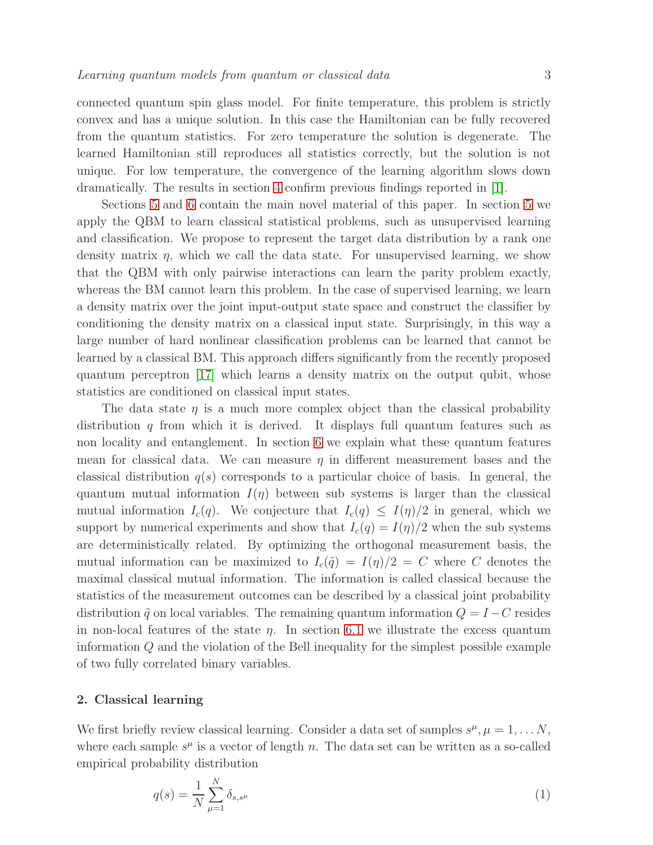connected quantum spin glass model. For finite temperature, this problem is strictly convex and has a unique solution. In this case the Hamiltonian can be fully recovered from the quantum statistics. For zero temperature the solution is degenerate. The learned Hamiltonian still reproduces all statistics correctly, but the solution is not unique. For low temperature, the convergence of the learning algorithm slows down dramatically. The results in section [4](#page-5-0) confirm previous findings reported in [\[1\]](#page-19-0).

Sections [5](#page-8-0) and [6](#page-13-0) contain the main novel material of this paper. In section [5](#page-8-0) we apply the QBM to learn classical statistical problems, such as unsupervised learning and classification. We propose to represent the target data distribution by a rank one density matrix  $\eta$ , which we call the data state. For unsupervised learning, we show that the QBM with only pairwise interactions can learn the parity problem exactly, whereas the BM cannot learn this problem. In the case of supervised learning, we learn a density matrix over the joint input-output state space and construct the classifier by conditioning the density matrix on a classical input state. Surprisingly, in this way a large number of hard nonlinear classification problems can be learned that cannot be learned by a classical BM. This approach differs significantly from the recently proposed quantum perceptron [\[17\]](#page-20-7) which learns a density matrix on the output qubit, whose statistics are conditioned on classical input states.

The data state  $\eta$  is a much more complex object than the classical probability distribution q from which it is derived. It displays full quantum features such as non locality and entanglement. In section [6](#page-13-0) we explain what these quantum features mean for classical data. We can measure  $\eta$  in different measurement bases and the classical distribution  $q(s)$  corresponds to a particular choice of basis. In general, the quantum mutual information  $I(\eta)$  between sub systems is larger than the classical mutual information  $I_c(q)$ . We conjecture that  $I_c(q) \leq I(\eta)/2$  in general, which we support by numerical experiments and show that  $I_c(q) = I(q)/2$  when the sub systems are deterministically related. By optimizing the orthogonal measurement basis, the mutual information can be maximized to  $I_c(\tilde{q}) = I(\eta)/2 = C$  where C denotes the maximal classical mutual information. The information is called classical because the statistics of the measurement outcomes can be described by a classical joint probability distribution  $\tilde{q}$  on local variables. The remaining quantum information  $Q = I - C$  resides in non-local features of the state  $\eta$ . In section [6.1](#page-15-0) we illustrate the excess quantum information Q and the violation of the Bell inequality for the simplest possible example of two fully correlated binary variables.

#### <span id="page-2-0"></span>2. Classical learning

We first briefly review classical learning. Consider a data set of samples  $s^{\mu}, \mu = 1, \ldots N$ , where each sample  $s^{\mu}$  is a vector of length n. The data set can be written as a so-called empirical probability distribution

<span id="page-2-1"></span>
$$
q(s) = \frac{1}{N} \sum_{\mu=1}^{N} \delta_{s,s^{\mu}}
$$
 (1)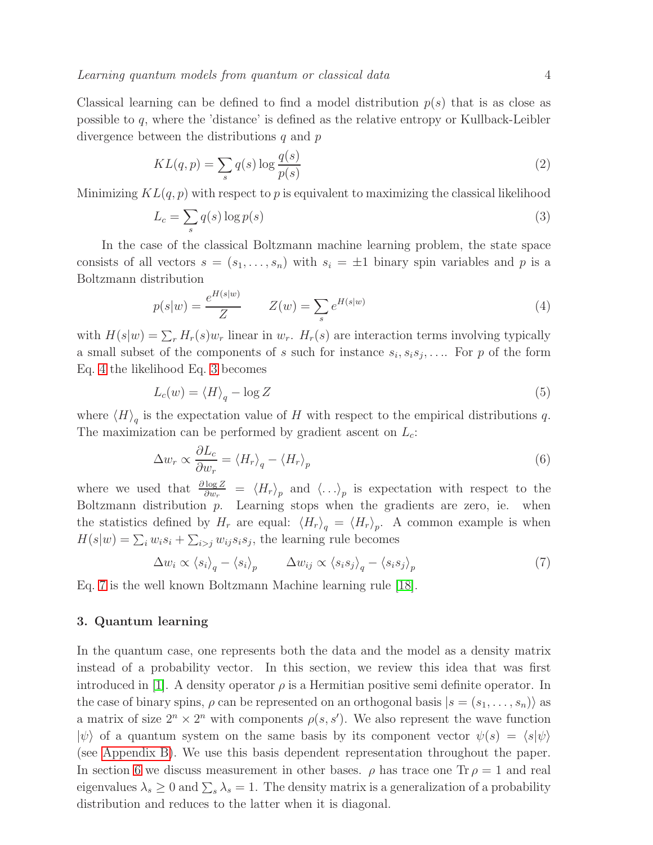Classical learning can be defined to find a model distribution  $p(s)$  that is as close as possible to q, where the 'distance' is defined as the relative entropy or Kullback-Leibler divergence between the distributions  $q$  and  $p$ 

<span id="page-3-4"></span>
$$
KL(q, p) = \sum_{s} q(s) \log \frac{q(s)}{p(s)}
$$
\n<sup>(2)</sup>

Minimizing  $KL(q, p)$  with respect to p is equivalent to maximizing the classical likelihood

<span id="page-3-2"></span>
$$
L_c = \sum_s q(s) \log p(s) \tag{3}
$$

In the case of the classical Boltzmann machine learning problem, the state space consists of all vectors  $s = (s_1, \ldots, s_n)$  with  $s_i = \pm 1$  binary spin variables and p is a Boltzmann distribution

<span id="page-3-1"></span>
$$
p(s|w) = \frac{e^{H(s|w)}}{Z} \qquad Z(w) = \sum_{s} e^{H(s|w)} \tag{4}
$$

with  $H(s|w) = \sum_r H_r(s)w_r$  linear in  $w_r$ .  $H_r(s)$  are interaction terms involving typically a small subset of the components of s such for instance  $s_i, s_i s_j, \ldots$ . For p of the form Eq. [4](#page-3-1) the likelihood Eq. [3](#page-3-2) becomes

$$
L_c(w) = \langle H \rangle_q - \log Z \tag{5}
$$

where  $\langle H \rangle_q$  is the expectation value of H with respect to the empirical distributions q. The maximization can be performed by gradient ascent on  $L_c$ :

$$
\Delta w_r \propto \frac{\partial L_c}{\partial w_r} = \langle H_r \rangle_q - \langle H_r \rangle_p \tag{6}
$$

where we used that  $\frac{\partial \log Z}{\partial w_r} = \langle H_r \rangle_p$  and  $\langle \ldots \rangle_p$  is expectation with respect to the Boltzmann distribution  $p$ . Learning stops when the gradients are zero, ie. when the statistics defined by  $H_r$  are equal:  $\langle H_r \rangle_q = \langle H_r \rangle_p$ . A common example is when  $H(s|w) = \sum_i w_i s_i + \sum_{i>j} w_{ij} s_i s_j$ , the learning rule becomes

<span id="page-3-3"></span>
$$
\Delta w_i \propto \langle s_i \rangle_q - \langle s_i \rangle_p \qquad \Delta w_{ij} \propto \langle s_i s_j \rangle_q - \langle s_i s_j \rangle_p \tag{7}
$$

<span id="page-3-0"></span>Eq. [7](#page-3-3) is the well known Boltzmann Machine learning rule [\[18\]](#page-20-8).

# 3. Quantum learning

In the quantum case, one represents both the data and the model as a density matrix instead of a probability vector. In this section, we review this idea that was first introduced in [\[1\]](#page-19-0). A density operator  $\rho$  is a Hermitian positive semi definite operator. In the case of binary spins,  $\rho$  can be represented on an orthogonal basis  $|s = (s_1, \ldots, s_n)\rangle$  as a matrix of size  $2^n \times 2^n$  with components  $\rho(s, s')$ . We also represent the wave function  $|\psi\rangle$  of a quantum system on the same basis by its component vector  $\psi(s) = \langle s|\psi\rangle$ (see [Appendix B\)](#page-21-1). We use this basis dependent representation throughout the paper. In section [6](#page-13-0) we discuss measurement in other bases.  $\rho$  has trace one Tr  $\rho = 1$  and real eigenvalues  $\lambda_s \geq 0$  and  $\sum_s \lambda_s = 1$ . The density matrix is a generalization of a probability distribution and reduces to the latter when it is diagonal.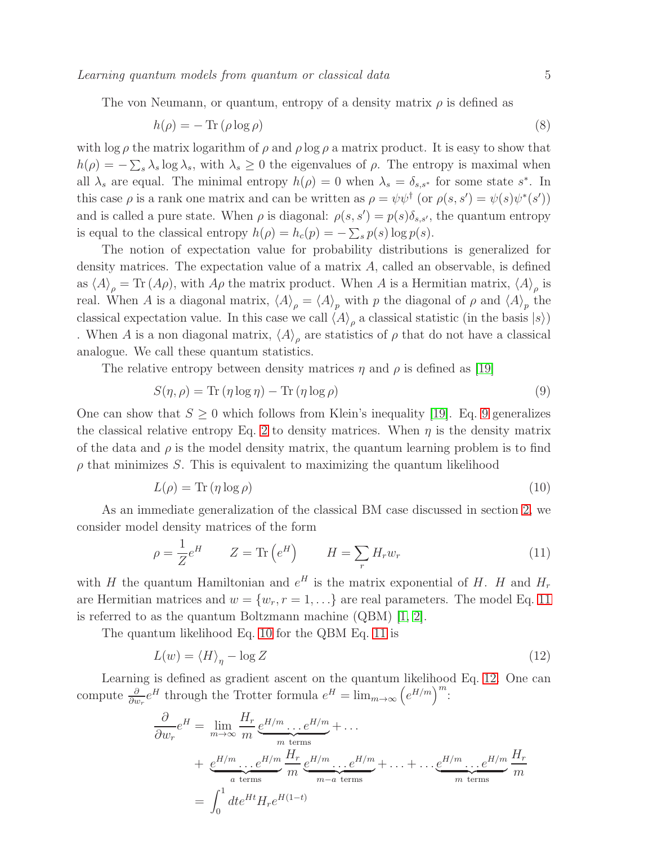Learning quantum models from quantum or classical data 5

The von Neumann, or quantum, entropy of a density matrix  $\rho$  is defined as

<span id="page-4-4"></span>
$$
h(\rho) = -\operatorname{Tr}\left(\rho \log \rho\right) \tag{8}
$$

with  $\log \rho$  the matrix logarithm of  $\rho$  and  $\rho \log \rho$  a matrix product. It is easy to show that  $h(\rho) = -\sum_{s} \lambda_s \log \lambda_s$ , with  $\lambda_s \geq 0$  the eigenvalues of  $\rho$ . The entropy is maximal when all  $\lambda_s$  are equal. The minimal entropy  $h(\rho) = 0$  when  $\lambda_s = \delta_{s,s^*}$  for some state  $s^*$ . In this case  $\rho$  is a rank one matrix and can be written as  $\rho = \psi \psi^{\dagger}$  (or  $\rho(s, s') = \psi(s) \psi^*(s')$ ) and is called a pure state. When  $\rho$  is diagonal:  $\rho(s, s') = p(s)\delta_{s,s'}$ , the quantum entropy is equal to the classical entropy  $h(\rho) = h_c(p) = -\sum_s p(s) \log p(s)$ .

The notion of expectation value for probability distributions is generalized for density matrices. The expectation value of a matrix  $A$ , called an observable, is defined as  $\langle A \rangle_{\rho} = \text{Tr} (A\rho)$ , with  $A\rho$  the matrix product. When A is a Hermitian matrix,  $\langle A \rangle_{\rho}$  is real. When A is a diagonal matrix,  $\langle A \rangle_{\rho} = \langle A \rangle_{p}$  with p the diagonal of  $\rho$  and  $\langle A \rangle_{p}$  the classical expectation value. In this case we call  $\langle A \rangle_\rho$  a classical statistic (in the basis  $|s\rangle$ ) . When A is a non diagonal matrix,  $\langle A \rangle_\rho$  are statistics of  $\rho$  that do not have a classical analogue. We call these quantum statistics.

The relative entropy between density matrices  $\eta$  and  $\rho$  is defined as [\[19\]](#page-20-9)

<span id="page-4-0"></span>
$$
S(\eta, \rho) = \text{Tr}(\eta \log \eta) - \text{Tr}(\eta \log \rho) \tag{9}
$$

One can show that  $S \geq 0$  which follows from Klein's inequality [\[19\]](#page-20-9). Eq. [9](#page-4-0) generalizes the classical relative entropy Eq. [2](#page-3-4) to density matrices. When  $\eta$  is the density matrix of the data and  $\rho$  is the model density matrix, the quantum learning problem is to find  $\rho$  that minimizes S. This is equivalent to maximizing the quantum likelihood

<span id="page-4-2"></span>
$$
L(\rho) = \text{Tr}(\eta \log \rho) \tag{10}
$$

As an immediate generalization of the classical BM case discussed in section [2,](#page-2-0) we consider model density matrices of the form

<span id="page-4-1"></span>
$$
\rho = \frac{1}{Z} e^H \qquad Z = \text{Tr}\left(e^H\right) \qquad H = \sum_r H_r w_r \tag{11}
$$

with H the quantum Hamiltonian and  $e^H$  is the matrix exponential of H. H and  $H_r$ are Hermitian matrices and  $w = \{w_r, r = 1, \ldots\}$  are real parameters. The model Eq. [11](#page-4-1) is referred to as the quantum Boltzmann machine (QBM) [\[1,](#page-19-0) [2\]](#page-19-1).

The quantum likelihood Eq. [10](#page-4-2) for the QBM Eq. [11](#page-4-1) is

<span id="page-4-3"></span>
$$
L(w) = \langle H \rangle_{\eta} - \log Z \tag{12}
$$

Learning is defined as gradient ascent on the quantum likelihood Eq. [12.](#page-4-3) One can compute  $\frac{\partial}{\partial w_r} e^H$  through the Trotter formula  $e^H = \lim_{m \to \infty} \left( e^{H/m} \right)^m$ :

$$
\frac{\partial}{\partial w_r} e^H = \lim_{m \to \infty} \frac{H_r}{m} \underbrace{e^{H/m} \dots e^{H/m}}_{m \text{ terms}} + \dots
$$
  
+ 
$$
\underbrace{e^{H/m} \dots e^{H/m}}_{a \text{ terms}} \frac{H_r}{m} \underbrace{e^{H/m} \dots e^{H/m}}_{m-a \text{ terms}} + \dots + \dots
$$
  
= 
$$
\int_0^1 dt e^{Ht} H_r e^{H(1-t)}
$$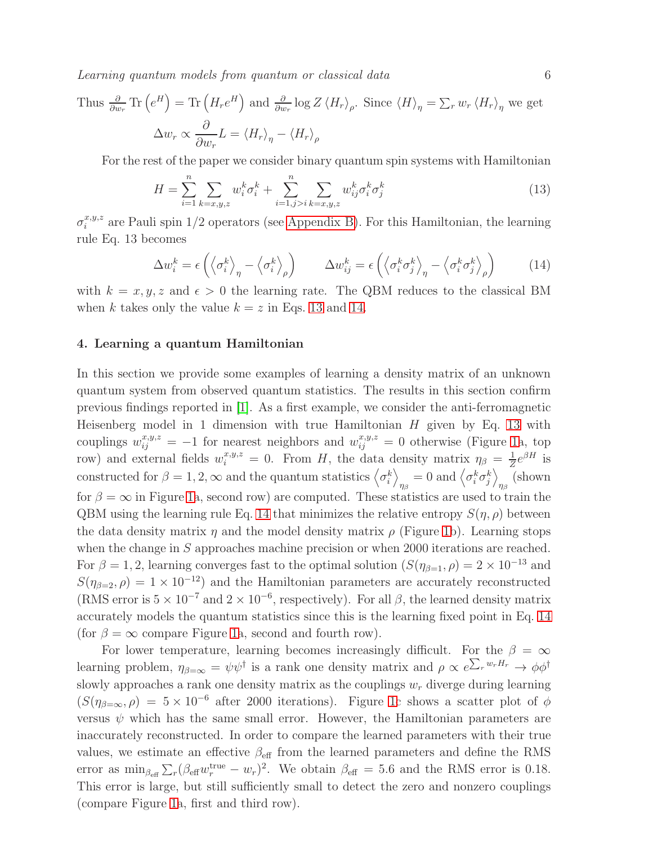Learning quantum models from quantum or classical data 6

Thus 
$$
\frac{\partial}{\partial w_r}
$$
 Tr  $(e^H)$  = Tr  $(H_r e^H)$  and  $\frac{\partial}{\partial w_r} \log Z \langle H_r \rangle_\rho$ . Since  $\langle H \rangle_\eta = \sum_r w_r \langle H_r \rangle_\eta$  we get  

$$
\Delta w_r \propto \frac{\partial}{\partial w_r} L = \langle H_r \rangle_\eta - \langle H_r \rangle_\rho
$$

For the rest of the paper we consider binary quantum spin systems with Hamiltonian

<span id="page-5-1"></span>
$$
H = \sum_{i=1}^{n} \sum_{k=x,y,z} w_i^k \sigma_i^k + \sum_{i=1,j>i}^{n} \sum_{k=x,y,z} w_{ij}^k \sigma_i^k \sigma_j^k
$$
 (13)

 $\sigma_i^{x,y,z}$  are Pauli spin 1/2 operators (see [Appendix B\)](#page-21-1). For this Hamiltonian, the learning rule Eq. 13 becomes

<span id="page-5-2"></span>
$$
\Delta w_i^k = \epsilon \left( \left\langle \sigma_i^k \right\rangle_{\eta} - \left\langle \sigma_i^k \right\rangle_{\rho} \right) \qquad \Delta w_{ij}^k = \epsilon \left( \left\langle \sigma_i^k \sigma_j^k \right\rangle_{\eta} - \left\langle \sigma_i^k \sigma_j^k \right\rangle_{\rho} \right) \tag{14}
$$

with  $k = x, y, z$  and  $\epsilon > 0$  the learning rate. The QBM reduces to the classical BM when k takes only the value  $k = z$  in Eqs. [13](#page-5-1) and [14.](#page-5-2)

# <span id="page-5-0"></span>4. Learning a quantum Hamiltonian

In this section we provide some examples of learning a density matrix of an unknown quantum system from observed quantum statistics. The results in this section confirm previous findings reported in [\[1\]](#page-19-0). As a first example, we consider the anti-ferromagnetic Heisenberg model in 1 dimension with true Hamiltonian  $H$  given by Eq. [13](#page-5-1) with couplings  $w_{ij}^{x,y,z} = -1$  for nearest neighbors and  $w_{ij}^{x,y,z} = 0$  otherwise (Figure [1a](#page-6-0), top row) and external fields  $w_i^{x,y,z} = 0$ . From H, the data density matrix  $\eta_\beta = \frac{1}{Z}$  $\frac{1}{Z}e^{\beta H}$  is constructed for  $\beta = 1, 2, \infty$  and the quantum statistics  $\langle \sigma_i^k \rangle$  $\eta_{\beta} = 0 \text{ and } \left\langle \sigma_i^k \sigma_j^k \right\rangle$  $\eta_{\beta}$  (shown for  $\beta = \infty$  in Figure [1a](#page-6-0), second row) are computed. These statistics are used to train the QBM using the learning rule Eq. [14](#page-5-2) that minimizes the relative entropy  $S(\eta, \rho)$  between the data density matrix  $\eta$  and the model density matrix  $\rho$  (Figure [1b](#page-6-0)). Learning stops when the change in S approaches machine precision or when 2000 iterations are reached. For  $\beta = 1, 2$ , learning converges fast to the optimal solution  $(S(\eta_{\beta=1}, \rho) = 2 \times 10^{-13}$  and  $S(\eta_{\beta=2}, \rho) = 1 \times 10^{-12}$  and the Hamiltonian parameters are accurately reconstructed (RMS error is  $5 \times 10^{-7}$  and  $2 \times 10^{-6}$ , respectively). For all  $\beta$ , the learned density matrix accurately models the quantum statistics since this is the learning fixed point in Eq. [14](#page-5-2) (for  $\beta = \infty$  compare Figure [1a](#page-6-0), second and fourth row).

For lower temperature, learning becomes increasingly difficult. For the  $\beta = \infty$ learning problem,  $\eta_{\beta=\infty} = \psi \psi^{\dagger}$  is a rank one density matrix and  $\rho \propto e^{\sum_r w_r H_r} \to \phi \phi^{\dagger}$ slowly approaches a rank one density matrix as the couplings  $w_r$  diverge during learning  $(S(\eta_{\beta=\infty}, \rho) = 5 \times 10^{-6}$  after 2000 iterations). Figure [1c](#page-6-0) shows a scatter plot of  $\phi$ versus  $\psi$  which has the same small error. However, the Hamiltonian parameters are inaccurately reconstructed. In order to compare the learned parameters with their true values, we estimate an effective  $\beta_{\text{eff}}$  from the learned parameters and define the RMS error as  $\min_{\beta_{\text{eff}}} \sum_r (\beta_{\text{eff}} w_r^{\text{true}} - w_r)^2$ . We obtain  $\beta_{\text{eff}} = 5.6$  and the RMS error is 0.18. This error is large, but still sufficiently small to detect the zero and nonzero couplings (compare Figure [1a](#page-6-0), first and third row).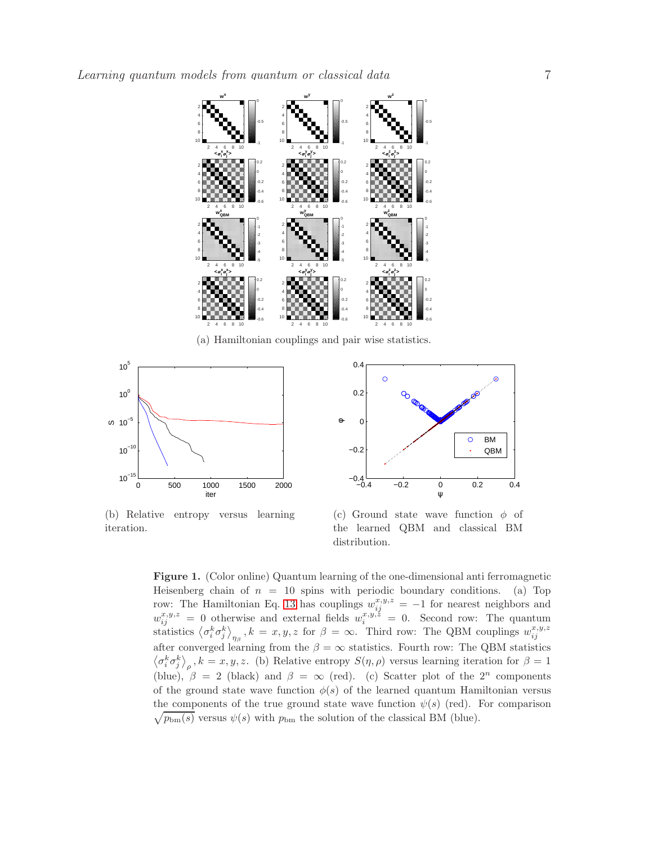

(a) Hamiltonian couplings and pair wise statistics.



(b) Relative entropy versus learning iteration.



(c) Ground state wave function  $\phi$  of the learned QBM and classical BM distribution.

<span id="page-6-0"></span>Figure 1. (Color online) Quantum learning of the one-dimensional anti ferromagnetic Heisenberg chain of  $n = 10$  spins with periodic boundary conditions. (a) Top row: The Hamiltonian Eq. [13](#page-5-1) has couplings  $w_{ij}^{x,y,z} = -1$  for nearest neighbors and  $w_{ij}^{x,y,z} = 0$  otherwise and external fields  $w_i^{x,y,z} = 0$ . Second row: The quantum statistics  $\langle \sigma_i^k \sigma_j^k \rangle_{\eta_\beta}$ ,  $k = x, y, z$  for  $\beta = \infty$ . Third row: The QBM couplings  $w_{ij}^{x,y,z}$ after converged learning from the  $\beta = \infty$  statistics. Fourth row: The QBM statistics  $\langle \sigma_i^k \sigma_j^k \rangle_\rho$ ,  $k = x, y, z$ . (b) Relative entropy  $S(\eta, \rho)$  versus learning iteration for  $\beta = 1$ (blue),  $\beta = 2$  (black) and  $\beta = \infty$  (red). (c) Scatter plot of the  $2^n$  components of the ground state wave function  $\phi(s)$  of the learned quantum Hamiltonian versus  $\sqrt{p_{bm}(s)}$  versus  $\psi(s)$  with  $p_{bm}$  the solution of the classical BM (blue). the components of the true ground state wave function  $\psi(s)$  (red). For comparison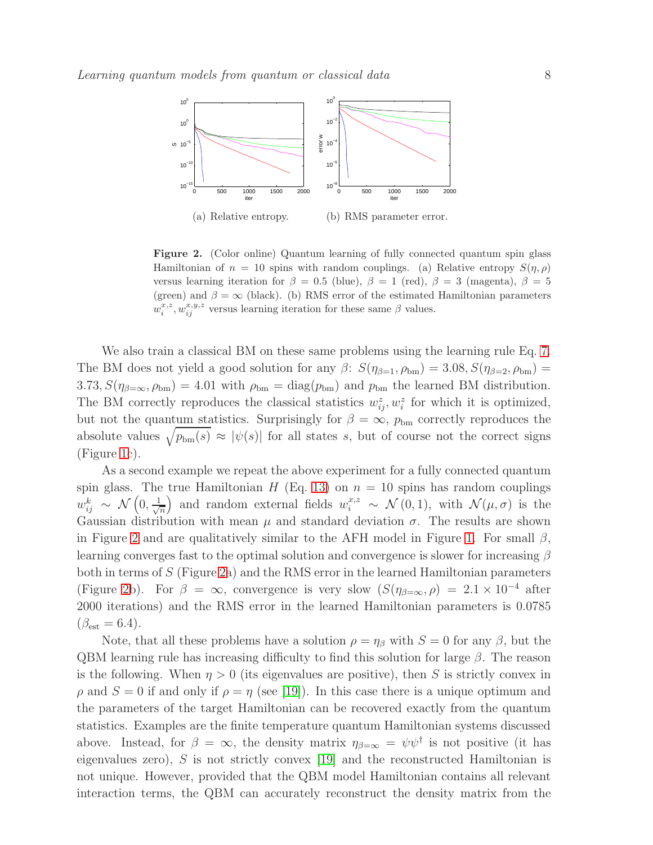

<span id="page-7-0"></span>Figure 2. (Color online) Quantum learning of fully connected quantum spin glass Hamiltonian of  $n = 10$  spins with random couplings. (a) Relative entropy  $S(\eta, \rho)$ versus learning iteration for  $\beta = 0.5$  (blue),  $\beta = 1$  (red),  $\beta = 3$  (magenta),  $\beta = 5$ (green) and  $\beta = \infty$  (black). (b) RMS error of the estimated Hamiltonian parameters  $w_i^{x,z}, w_{ij}^{x,y,z}$  versus learning iteration for these same  $\beta$  values.

We also train a classical BM on these same problems using the learning rule Eq. [7.](#page-3-3) The BM does not yield a good solution for any  $\beta$ :  $S(\eta_{\beta=1}, \rho_{bm}) = 3.08$ ,  $S(\eta_{\beta=2}, \rho_{bm}) =$  $3.73, S(\eta_{\beta=\infty}, \rho_{\text{bm}}) = 4.01$  with  $\rho_{\text{bm}} = \text{diag}(p_{\text{bm}})$  and  $p_{\text{bm}}$  the learned BM distribution. The BM correctly reproduces the classical statistics  $w_{ij}^z, w_i^z$  for which it is optimized, but not the quantum statistics. Surprisingly for  $\beta = \infty$ ,  $p_{bm}$  correctly reproduces the absolute values  $\sqrt{p_{bm}(s)} \approx |\psi(s)|$  for all states s, but of course not the correct signs (Figure [1c](#page-6-0)).

As a second example we repeat the above experiment for a fully connected quantum spin glass. The true Hamiltonian H (Eq. [13\)](#page-5-1) on  $n = 10$  spins has random couplings  $w_{ij}^k ~\sim ~ \mathcal{N}\left(0, \frac{1}{\sqrt{2}}\right)$ n and random external fields  $w_i^{x,z} \sim \mathcal{N}(0,1)$ , with  $\mathcal{N}(\mu,\sigma)$  is the Gaussian distribution with mean  $\mu$  and standard deviation  $\sigma$ . The results are shown in Figure [2](#page-7-0) and are qualitatively similar to the AFH model in Figure [1.](#page-6-0) For small  $\beta$ , learning converges fast to the optimal solution and convergence is slower for increasing  $\beta$ both in terms of S (Figure [2a](#page-7-0)) and the RMS error in the learned Hamiltonian parameters (Figure [2b](#page-7-0)). For  $\beta = \infty$ , convergence is very slow  $(S(\eta_{\beta=\infty}, \rho) = 2.1 \times 10^{-4}$  after 2000 iterations) and the RMS error in the learned Hamiltonian parameters is 0.0785  $(\beta_{est} = 6.4).$ 

Note, that all these problems have a solution  $\rho = \eta_\beta$  with  $S = 0$  for any  $\beta$ , but the QBM learning rule has increasing difficulty to find this solution for large  $\beta$ . The reason is the following. When  $\eta > 0$  (its eigenvalues are positive), then S is strictly convex in  $\rho$  and  $S = 0$  if and only if  $\rho = \eta$  (see [\[19\]](#page-20-9)). In this case there is a unique optimum and the parameters of the target Hamiltonian can be recovered exactly from the quantum statistics. Examples are the finite temperature quantum Hamiltonian systems discussed above. Instead, for  $\beta = \infty$ , the density matrix  $\eta_{\beta=\infty} = \psi \psi^{\dagger}$  is not positive (it has eigenvalues zero), S is not strictly convex [\[19\]](#page-20-9) and the reconstructed Hamiltonian is not unique. However, provided that the QBM model Hamiltonian contains all relevant interaction terms, the QBM can accurately reconstruct the density matrix from the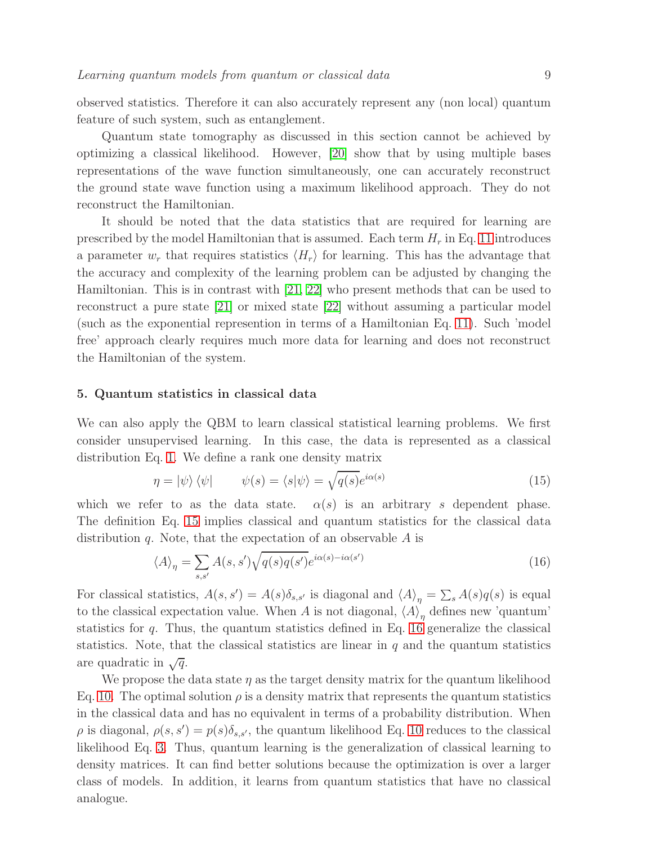observed statistics. Therefore it can also accurately represent any (non local) quantum feature of such system, such as entanglement.

Quantum state tomography as discussed in this section cannot be achieved by optimizing a classical likelihood. However, [\[20\]](#page-20-10) show that by using multiple bases representations of the wave function simultaneously, one can accurately reconstruct the ground state wave function using a maximum likelihood approach. They do not reconstruct the Hamiltonian.

It should be noted that the data statistics that are required for learning are prescribed by the model Hamiltonian that is assumed. Each term  $H_r$  in Eq. [11](#page-4-1) introduces a parameter  $w_r$  that requires statistics  $\langle H_r \rangle$  for learning. This has the advantage that the accuracy and complexity of the learning problem can be adjusted by changing the Hamiltonian. This is in contrast with [\[21,](#page-20-11) [22\]](#page-20-12) who present methods that can be used to reconstruct a pure state [\[21\]](#page-20-11) or mixed state [\[22\]](#page-20-12) without assuming a particular model (such as the exponential represention in terms of a Hamiltonian Eq. [11\)](#page-4-1). Such 'model free' approach clearly requires much more data for learning and does not reconstruct the Hamiltonian of the system.

#### <span id="page-8-0"></span>5. Quantum statistics in classical data

We can also apply the QBM to learn classical statistical learning problems. We first consider unsupervised learning. In this case, the data is represented as a classical distribution Eq. [1.](#page-2-1) We define a rank one density matrix

<span id="page-8-1"></span>
$$
\eta = |\psi\rangle\langle\psi| \qquad \psi(s) = \langle s|\psi\rangle = \sqrt{q(s)}e^{i\alpha(s)} \tag{15}
$$

which we refer to as the data state.  $\alpha(s)$  is an arbitrary s dependent phase. The definition Eq. [15](#page-8-1) implies classical and quantum statistics for the classical data distribution  $q$ . Note, that the expectation of an observable  $A$  is

<span id="page-8-2"></span>
$$
\langle A \rangle_{\eta} = \sum_{s,s'} A(s,s') \sqrt{q(s)q(s')} e^{i\alpha(s) - i\alpha(s')}
$$
\n(16)

For classical statistics,  $A(s, s') = A(s)\delta_{s, s'}$  is diagonal and  $\langle A \rangle_{\eta} = \sum_s A(s)q(s)$  is equal to the classical expectation value. When A is not diagonal,  $\langle A \rangle_{\eta}$  defines new 'quantum' statistics for  $q$ . Thus, the quantum statistics defined in Eq. [16](#page-8-2) generalize the classical statistics. Note, that the classical statistics are linear in  $q$  and the quantum statistics are quadratic in  $\sqrt{q}$ .

We propose the data state  $\eta$  as the target density matrix for the quantum likelihood Eq. [10.](#page-4-2) The optimal solution  $\rho$  is a density matrix that represents the quantum statistics in the classical data and has no equivalent in terms of a probability distribution. When  $\rho$  is diagonal,  $\rho(s, s') = p(s)\delta_{s, s'}$ , the quantum likelihood Eq. [10](#page-4-2) reduces to the classical likelihood Eq. [3.](#page-3-2) Thus, quantum learning is the generalization of classical learning to density matrices. It can find better solutions because the optimization is over a larger class of models. In addition, it learns from quantum statistics that have no classical analogue.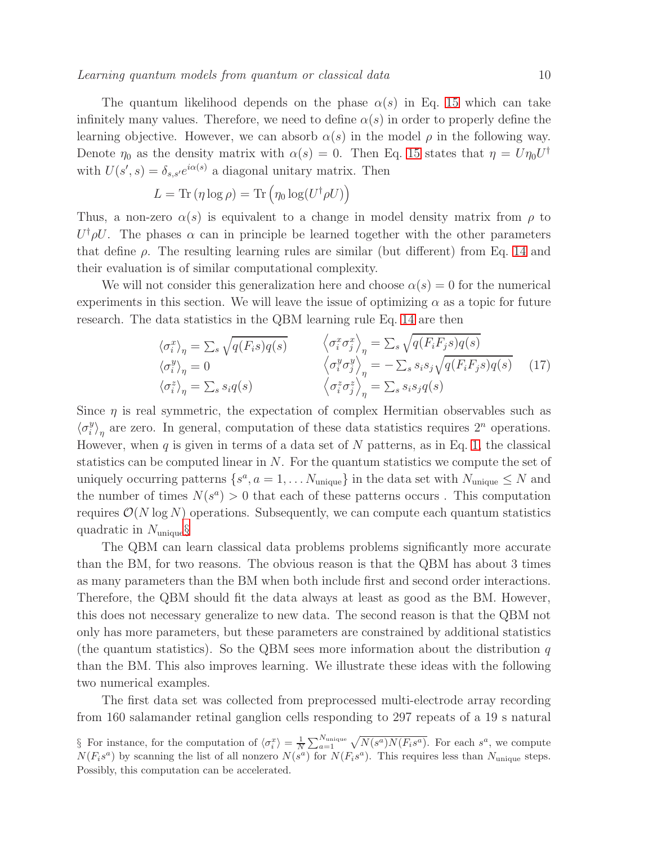The quantum likelihood depends on the phase  $\alpha(s)$  in Eq. [15](#page-8-1) which can take infinitely many values. Therefore, we need to define  $\alpha(s)$  in order to properly define the learning objective. However, we can absorb  $\alpha(s)$  in the model  $\rho$  in the following way. Denote  $\eta_0$  as the density matrix with  $\alpha(s) = 0$ . Then Eq. [15](#page-8-1) states that  $\eta = U \eta_0 U^{\dagger}$ with  $U(s', s) = \delta_{s,s'} e^{i\alpha(s)}$  a diagonal unitary matrix. Then

$$
L = \text{Tr}(\eta \log \rho) = \text{Tr}\left(\eta_0 \log(U^{\dagger} \rho U)\right)
$$

Thus, a non-zero  $\alpha(s)$  is equivalent to a change in model density matrix from  $\rho$  to  $U^{\dagger} \rho U$ . The phases  $\alpha$  can in principle be learned together with the other parameters that define  $\rho$ . The resulting learning rules are similar (but different) from Eq. [14](#page-5-2) and their evaluation is of similar computational complexity.

We will not consider this generalization here and choose  $\alpha(s) = 0$  for the numerical experiments in this section. We will leave the issue of optimizing  $\alpha$  as a topic for future research. The data statistics in the QBM learning rule Eq. [14](#page-5-2) are then

<span id="page-9-1"></span>
$$
\langle \sigma_i^x \rangle_{\eta} = \sum_s \sqrt{q(F_i s) q(s)} \qquad \langle \sigma_i^x \sigma_j^x \rangle_{\eta} = \sum_s \sqrt{q(F_i F_j s) q(s)} \n\langle \sigma_i^y \rangle_{\eta} = 0 \qquad \langle \sigma_i^y \sigma_j^y \rangle_{\eta} = -\sum_s s_i s_j \sqrt{q(F_i F_j s) q(s)} \qquad (17) \n\langle \sigma_i^z \rangle_{\eta} = \sum_s s_i q(s) \qquad \langle \sigma_i^z \sigma_j^z \rangle_{\eta} = \sum_s s_i s_j q(s)
$$

Since  $\eta$  is real symmetric, the expectation of complex Hermitian observables such as  $\langle \sigma_i^y$  $\binom{y}{i}_\eta$  are zero. In general, computation of these data statistics requires  $2^n$  operations. However, when  $q$  is given in terms of a data set of  $N$  patterns, as in Eq. [1,](#page-2-1) the classical statistics can be computed linear in  $N$ . For the quantum statistics we compute the set of uniquely occurring patterns  $\{s^a, a = 1, \ldots N_{\text{unique}}\}$  in the data set with  $N_{\text{unique}} \leq N$  and the number of times  $N(s^a) > 0$  that each of these patterns occurs. This computation requires  $\mathcal{O}(N \log N)$  operations. Subsequently, we can compute each quantum statistics quadratic in  $N_{\text{unique}}\$ 

The QBM can learn classical data problems problems significantly more accurate than the BM, for two reasons. The obvious reason is that the QBM has about 3 times as many parameters than the BM when both include first and second order interactions. Therefore, the QBM should fit the data always at least as good as the BM. However, this does not necessary generalize to new data. The second reason is that the QBM not only has more parameters, but these parameters are constrained by additional statistics (the quantum statistics). So the QBM sees more information about the distribution  $q$ than the BM. This also improves learning. We illustrate these ideas with the following two numerical examples.

The first data set was collected from preprocessed multi-electrode array recording from 160 salamander retinal ganglion cells responding to 297 repeats of a 19 s natural

<span id="page-9-0"></span>§ For instance, for the computation of  $\langle \sigma_i^x \rangle = \frac{1}{N} \sum_{a=1}^{N_{\text{unique}}} \sqrt{N(s^a)N(F_is^a)}$ . For each  $s^a$ , we compute  $N(F_is^a)$  by scanning the list of all nonzero  $N(s^a)$  for  $N(F_is^a)$ . This requires less than  $N_{\text{unique}}$  steps. Possibly, this computation can be accelerated.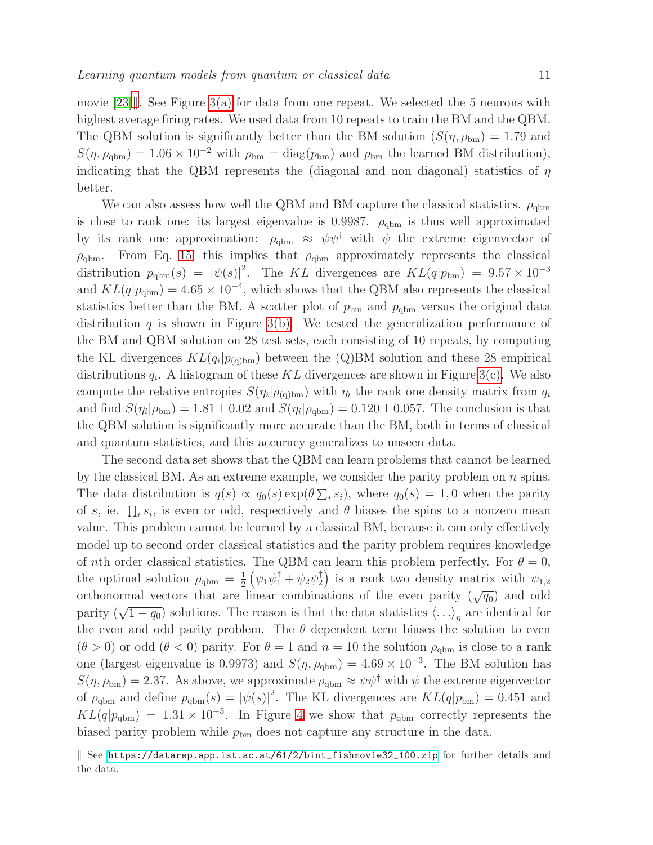movie  $[23]$ . See Figure [3\(a\)](#page-11-0) for data from one repeat. We selected the 5 neurons with highest average firing rates. We used data from 10 repeats to train the BM and the QBM. The QBM solution is significantly better than the BM solution  $(S(\eta, \rho_{bm}) = 1.79$  and  $S(\eta, \rho_{\text{dbm}}) = 1.06 \times 10^{-2}$  with  $\rho_{\text{bm}} = \text{diag}(p_{\text{bm}})$  and  $p_{\text{bm}}$  the learned BM distribution), indicating that the QBM represents the (diagonal and non diagonal) statistics of  $\eta$ better.

We can also assess how well the QBM and BM capture the classical statistics.  $\rho_{\text{qbm}}$ is close to rank one: its largest eigenvalue is 0.9987.  $\rho_{\text{qbm}}$  is thus well approximated by its rank one approximation:  $\rho_{\text{qbm}} \approx \psi \psi^{\dagger}$  with  $\psi$  the extreme eigenvector of  $\rho_{\text{qbm}}$ . From Eq. [15,](#page-8-1) this implies that  $\rho_{\text{qbm}}$  approximately represents the classical distribution  $p_{\text{qbm}}(s) = |\psi(s)|^2$ . The KL divergences are  $KL(q|p_{\text{bm}}) = 9.57 \times 10^{-3}$ and  $KL(q|p_{\text{qbm}}) = 4.65 \times 10^{-4}$ , which shows that the QBM also represents the classical statistics better than the BM. A scatter plot of  $p_{bm}$  and  $p_{qbm}$  versus the original data distribution q is shown in Figure [3\(b\).](#page-11-1) We tested the generalization performance of the BM and QBM solution on 28 test sets, each consisting of 10 repeats, by computing the KL divergences  $KL(q_i|p_{(q)bm})$  between the (Q)BM solution and these 28 empirical distributions  $q_i$ . A histogram of these KL divergences are shown in Figure [3\(c\).](#page-11-2) We also compute the relative entropies  $S(\eta_i|\rho_{(q)bm})$  with  $\eta_i$  the rank one density matrix from  $q_i$ and find  $S(\eta_i|\rho_{bm}) = 1.81 \pm 0.02$  and  $S(\eta_i|\rho_{qbm}) = 0.120 \pm 0.057$ . The conclusion is that the QBM solution is significantly more accurate than the BM, both in terms of classical and quantum statistics, and this accuracy generalizes to unseen data.

The second data set shows that the QBM can learn problems that cannot be learned by the classical BM. As an extreme example, we consider the parity problem on  $n$  spins. The data distribution is  $q(s) \propto q_0(s) \exp(\theta \sum_i s_i)$ , where  $q_0(s) = 1, 0$  when the parity of s, ie.  $\prod_i s_i$ , is even or odd, respectively and  $\theta$  biases the spins to a nonzero mean value. This problem cannot be learned by a classical BM, because it can only effectively model up to second order classical statistics and the parity problem requires knowledge of nth order classical statistics. The QBM can learn this problem perfectly. For  $\theta = 0$ , the optimal solution  $\rho_{\text{qbm}} = \frac{1}{2}$ 2  $(\psi_1 \psi_1^{\dagger} + \psi_2 \psi_2^{\dagger})$  is a rank two density matrix with  $\psi_{1,2}$ orthonormal vectors that are linear combinations of the even parity  $(\sqrt{q_0})$  and odd parity  $(\sqrt{1-q_0})$  solutions. The reason is that the data statistics  $\langle \ldots \rangle_{\eta}$  are identical for the even and odd parity problem. The  $\theta$  dependent term biases the solution to even  $(\theta > 0)$  or odd  $(\theta < 0)$  parity. For  $\theta = 1$  and  $n = 10$  the solution  $\rho_{\text{qbm}}$  is close to a rank one (largest eigenvalue is 0.9973) and  $S(\eta, \rho_{\text{qbm}}) = 4.69 \times 10^{-3}$ . The BM solution has  $S(\eta, \rho_{\text{bm}}) = 2.37$ . As above, we approximate  $\rho_{\text{qbm}} \approx \psi \psi^{\dagger}$  with  $\psi$  the extreme eigenvector of  $\rho_{\text{qbm}}$  and define  $p_{\text{qbm}}(s) = |\psi(s)|^2$ . The KL divergences are  $KL(q|p_{\text{bm}}) = 0.451$  and  $KL(q|p_{\text{qbm}}) = 1.31 \times 10^{-5}$ . In Figure [4](#page-11-3) we show that  $p_{\text{qbm}}$  correctly represents the biased parity problem while  $p_{bm}$  does not capture any structure in the data.

<span id="page-10-0"></span>k See [https://datarep.app.ist.ac.at/61/2/bint\\_fishmovie32\\_100.zip](https://datarep.app.ist.ac.at/61/2/bint_fishmovie32_100.zip) for further details and the data.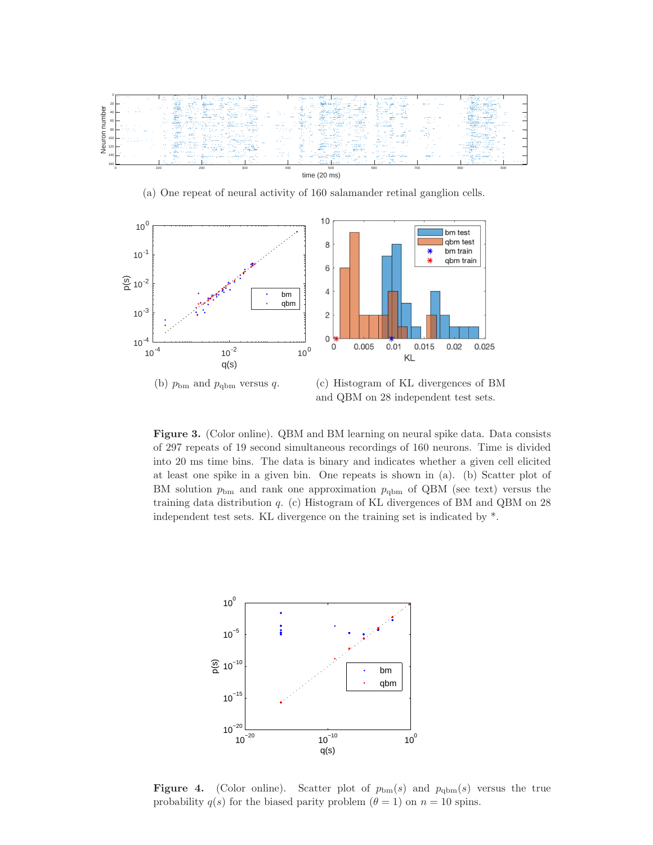<span id="page-11-0"></span>

(a) One repeat of neural activity of 160 salamander retinal ganglion cells.

<span id="page-11-1"></span>

<span id="page-11-2"></span>

(b)  $p_{bm}$  and  $p_{qbm}$  versus q. (c) Histogram of KL divergences of BM and QBM on 28 independent test sets.

Figure 3. (Color online). QBM and BM learning on neural spike data. Data consists of 297 repeats of 19 second simultaneous recordings of 160 neurons. Time is divided into 20 ms time bins. The data is binary and indicates whether a given cell elicited at least one spike in a given bin. One repeats is shown in (a). (b) Scatter plot of BM solution  $p_{bm}$  and rank one approximation  $p_{\text{dbm}}$  of QBM (see text) versus the training data distribution q. (c) Histogram of KL divergences of BM and QBM on 28 independent test sets. KL divergence on the training set is indicated by \*.



<span id="page-11-3"></span>Figure 4. (Color online). Scatter plot of  $p_{bm}(s)$  and  $p_{qbm}(s)$  versus the true probability  $q(s)$  for the biased parity problem  $(\theta = 1)$  on  $n = 10$  spins.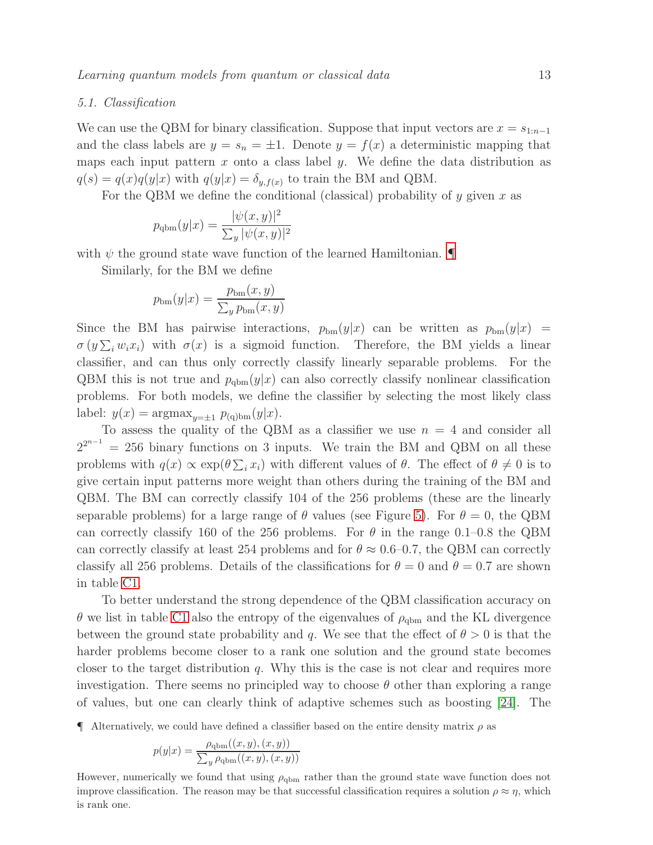## 5.1. Classification

We can use the QBM for binary classification. Suppose that input vectors are  $x = s_{1:n-1}$ and the class labels are  $y = s_n = \pm 1$ . Denote  $y = f(x)$  a deterministic mapping that maps each input pattern  $x$  onto a class label  $y$ . We define the data distribution as  $q(s) = q(x)q(y|x)$  with  $q(y|x) = \delta_{y,f(x)}$  to train the BM and QBM.

For the QBM we define the conditional (classical) probability of y given x as

$$
p_{\text{qbm}}(y|x) = \frac{|\psi(x,y)|^2}{\sum_{y} |\psi(x,y)|^2}
$$

with  $\psi$  the ground state wave function of the learned Hamiltonian.

Similarly, for the BM we define

$$
p_{\rm bm}(y|x) = \frac{p_{\rm bm}(x, y)}{\sum_{y} p_{\rm bm}(x, y)}
$$

Since the BM has pairwise interactions,  $p_{bm}(y|x)$  can be written as  $p_{bm}(y|x)$  =  $\sigma(y\sum_i w_i x_i)$  with  $\sigma(x)$  is a sigmoid function. Therefore, the BM yields a linear classifier, and can thus only correctly classify linearly separable problems. For the QBM this is not true and  $p_{qbm}(y|x)$  can also correctly classify nonlinear classification problems. For both models, we define the classifier by selecting the most likely class label:  $y(x) = \operatorname{argmax}_{y=\pm 1} p_{(q)\text{bm}}(y|x).$ 

To assess the quality of the QBM as a classifier we use  $n = 4$  and consider all  $2^{2^{n-1}} = 256$  binary functions on 3 inputs. We train the BM and QBM on all these problems with  $q(x) \propto \exp(\theta \sum_i x_i)$  with different values of  $\theta$ . The effect of  $\theta \neq 0$  is to give certain input patterns more weight than others during the training of the BM and QBM. The BM can correctly classify 104 of the 256 problems (these are the linearly separable problems) for a large range of  $\theta$  values (see Figure [5\)](#page-13-1). For  $\theta = 0$ , the QBM can correctly classify 160 of the 256 problems. For  $\theta$  in the range 0.1–0.8 the QBM can correctly classify at least 254 problems and for  $\theta \approx 0.6{\text -}0.7$ , the QBM can correctly classify all 256 problems. Details of the classifications for  $\theta = 0$  and  $\theta = 0.7$  are shown in table [C1.](#page-23-0)

To better understand the strong dependence of the QBM classification accuracy on θ we list in table [C1](#page-23-0) also the entropy of the eigenvalues of  $ρ<sub>qbm</sub>$  and the KL divergence between the ground state probability and q. We see that the effect of  $\theta > 0$  is that the harder problems become closer to a rank one solution and the ground state becomes closer to the target distribution  $q$ . Why this is the case is not clear and requires more investigation. There seems no principled way to choose  $\theta$  other than exploring a range of values, but one can clearly think of adaptive schemes such as boosting [\[24\]](#page-20-14). The

<span id="page-12-0"></span> $\P$  Alternatively, we could have defined a classifier based on the entire density matrix  $\rho$  as

$$
p(y|x) = \frac{\rho_{\text{qbm}}((x, y), (x, y))}{\sum_{y} \rho_{\text{qbm}}((x, y), (x, y))}
$$

However, numerically we found that using  $\rho_{\text{dbm}}$  rather than the ground state wave function does not improve classification. The reason may be that successful classification requires a solution  $\rho \approx \eta$ , which is rank one.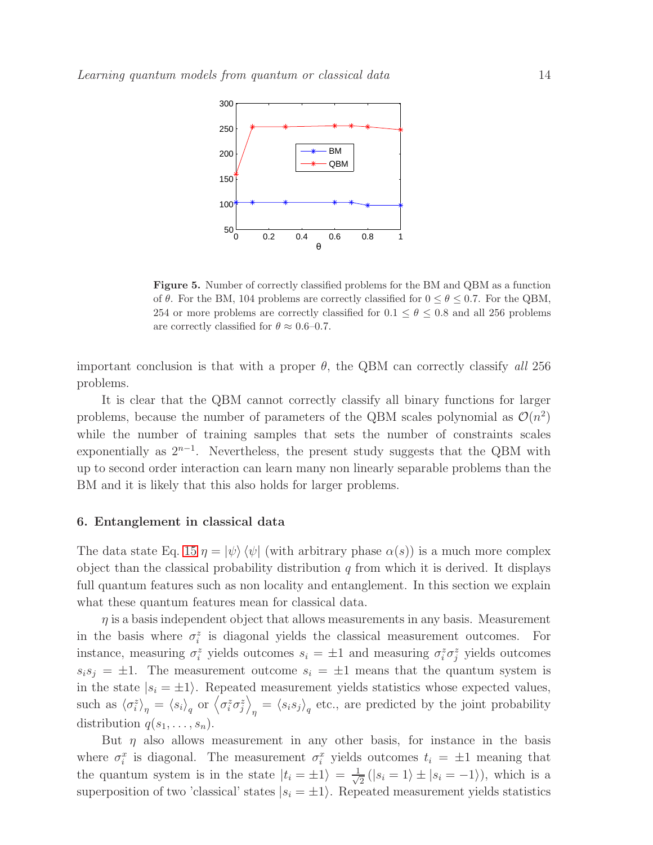

<span id="page-13-1"></span>Figure 5. Number of correctly classified problems for the BM and QBM as a function of  $\theta$ . For the BM, 104 problems are correctly classified for  $0 \le \theta \le 0.7$ . For the QBM, 254 or more problems are correctly classified for  $0.1 \le \theta \le 0.8$  and all 256 problems are correctly classified for  $\theta \approx 0.6{\text -}0.7$ .

important conclusion is that with a proper  $\theta$ , the QBM can correctly classify all 256 problems.

It is clear that the QBM cannot correctly classify all binary functions for larger problems, because the number of parameters of the QBM scales polynomial as  $\mathcal{O}(n^2)$ while the number of training samples that sets the number of constraints scales exponentially as  $2^{n-1}$ . Nevertheless, the present study suggests that the QBM with up to second order interaction can learn many non linearly separable problems than the BM and it is likely that this also holds for larger problems.

## <span id="page-13-0"></span>6. Entanglement in classical data

The data state Eq. [15](#page-8-1)  $\eta = |\psi\rangle \langle \psi|$  (with arbitrary phase  $\alpha(s)$ ) is a much more complex object than the classical probability distribution  $q$  from which it is derived. It displays full quantum features such as non locality and entanglement. In this section we explain what these quantum features mean for classical data.

 $\eta$  is a basis independent object that allows measurements in any basis. Measurement in the basis where  $\sigma_i^z$  is diagonal yields the classical measurement outcomes. For instance, measuring  $\sigma_i^z$  yields outcomes  $s_i = \pm 1$  and measuring  $\sigma_i^z \sigma_j^z$  yields outcomes  $s_i s_j = \pm 1$ . The measurement outcome  $s_i = \pm 1$  means that the quantum system is in the state  $|s_i = \pm 1\rangle$ . Repeated measurement yields statistics whose expected values, such as  $\langle \sigma_i^z \rangle_{\eta} = \langle s_i \rangle_{q}$  or  $\langle \sigma_i^z \sigma_j^z \rangle$  $\eta = \langle s_i s_j \rangle_q$  etc., are predicted by the joint probability distribution  $q(s_1, \ldots, s_n)$ .

But  $\eta$  also allows measurement in any other basis, for instance in the basis where  $\sigma_i^x$  is diagonal. The measurement  $\sigma_i^x$  yields outcomes  $t_i = \pm 1$  meaning that the quantum system is in the state  $|t_i = \pm 1\rangle = \frac{1}{\sqrt{n}}$  $\frac{1}{2}(|s_i = 1\rangle \pm |s_i = -1\rangle)$ , which is a superposition of two 'classical' states  $|s_i = \pm 1\rangle$ . Repeated measurement yields statistics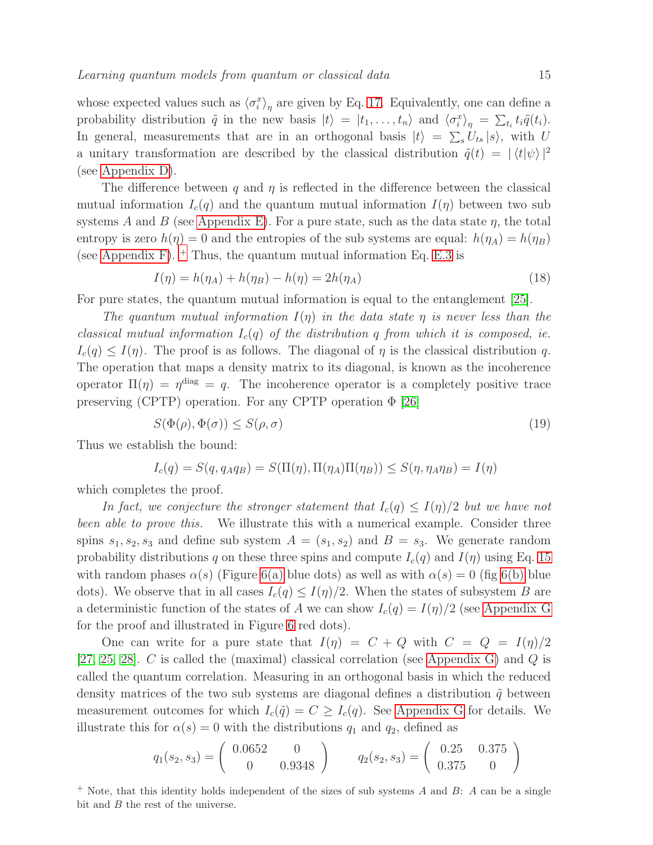whose expected values such as  $\langle \sigma_i^x \rangle_{\eta}$  are given by Eq. [17.](#page-9-1) Equivalently, one can define a probability distribution  $\tilde{q}$  in the new basis  $|t\rangle = |t_1, \ldots, t_n\rangle$  and  $\langle \sigma_i^x \rangle_{\eta} = \sum_{t_i} t_i \tilde{q}(t_i)$ . In general, measurements that are in an orthogonal basis  $|t\rangle = \sum_s U_{ts} |s\rangle$ , with U a unitary transformation are described by the classical distribution  $\tilde{q}(t) = |\langle t | \psi \rangle|^2$ (see [Appendix D\)](#page-22-0).

The difference between q and  $\eta$  is reflected in the difference between the classical mutual information  $I_c(q)$  and the quantum mutual information  $I(\eta)$  between two sub systems A and B (see [Appendix E\)](#page-23-1). For a pure state, such as the data state  $\eta$ , the total entropy is zero  $h(\eta) = 0$  and the entropies of the sub systems are equal:  $h(\eta_A) = h(\eta_B)$ (see [Appendix F\)](#page-25-0).  $+$  Thus, the quantum mutual information Eq. [E.3](#page-24-0) is

<span id="page-14-1"></span>
$$
I(\eta) = h(\eta_A) + h(\eta_B) - h(\eta) = 2h(\eta_A)
$$
\n(18)

For pure states, the quantum mutual information is equal to the entanglement [\[25\]](#page-20-15).

The quantum mutual information  $I(\eta)$  in the data state  $\eta$  is never less than the classical mutual information  $I_c(q)$  of the distribution q from which it is composed, ie.  $I_c(q) \leq I(\eta)$ . The proof is as follows. The diagonal of  $\eta$  is the classical distribution q. The operation that maps a density matrix to its diagonal, is known as the incoherence operator  $\Pi(\eta) = \eta^{\text{diag}} = q$ . The incoherence operator is a completely positive trace preserving (CPTP) operation. For any CPTP operation  $\Phi$  [\[26\]](#page-20-16)

<span id="page-14-2"></span>
$$
S(\Phi(\rho), \Phi(\sigma)) \le S(\rho, \sigma) \tag{19}
$$

Thus we establish the bound:

$$
I_c(q) = S(q, q_A q_B) = S(\Pi(\eta), \Pi(\eta_A) \Pi(\eta_B)) \leq S(\eta, \eta_A \eta_B) = I(\eta)
$$

which completes the proof.

In fact, we conjecture the stronger statement that  $I_c(q) \leq I(\eta)/2$  but we have not been able to prove this. We illustrate this with a numerical example. Consider three spins  $s_1, s_2, s_3$  and define sub system  $A = (s_1, s_2)$  and  $B = s_3$ . We generate random probability distributions q on these three spins and compute  $I_c(q)$  and  $I(\eta)$  using Eq. [15](#page-8-1) with random phases  $\alpha(s)$  (Figure [6\(a\)](#page-15-1) blue dots) as well as with  $\alpha(s) = 0$  (fig [6\(b\)](#page-15-2) blue dots). We observe that in all cases  $I_c(q) \leq I(\eta)/2$ . When the states of subsystem B are a deterministic function of the states of A we can show  $I_c(q) = I(\eta)/2$  (see [Appendix G](#page-25-1) for the proof and illustrated in Figure [6](#page-15-3) red dots).

One can write for a pure state that  $I(\eta) = C + Q$  with  $C = Q = I(\eta)/2$ [\[27,](#page-20-17) [25,](#page-20-15) [28\]](#page-20-18). C is called the (maximal) classical correlation (see [Appendix G\)](#page-25-1) and  $Q$  is called the quantum correlation. Measuring in an orthogonal basis in which the reduced density matrices of the two sub systems are diagonal defines a distribution  $\tilde{q}$  between measurement outcomes for which  $I_c(\tilde{q}) = C \geq I_c(q)$ . See [Appendix G](#page-25-1) for details. We illustrate this for  $\alpha(s) = 0$  with the distributions  $q_1$  and  $q_2$ , defined as

$$
q_1(s_2, s_3) = \begin{pmatrix} 0.0652 & 0 \\ 0 & 0.9348 \end{pmatrix}
$$
  $q_2(s_2, s_3) = \begin{pmatrix} 0.25 & 0.375 \\ 0.375 & 0 \end{pmatrix}$ 

<span id="page-14-0"></span><sup>+</sup> Note, that this identity holds independent of the sizes of sub systems A and B: A can be a single bit and *B* the rest of the universe.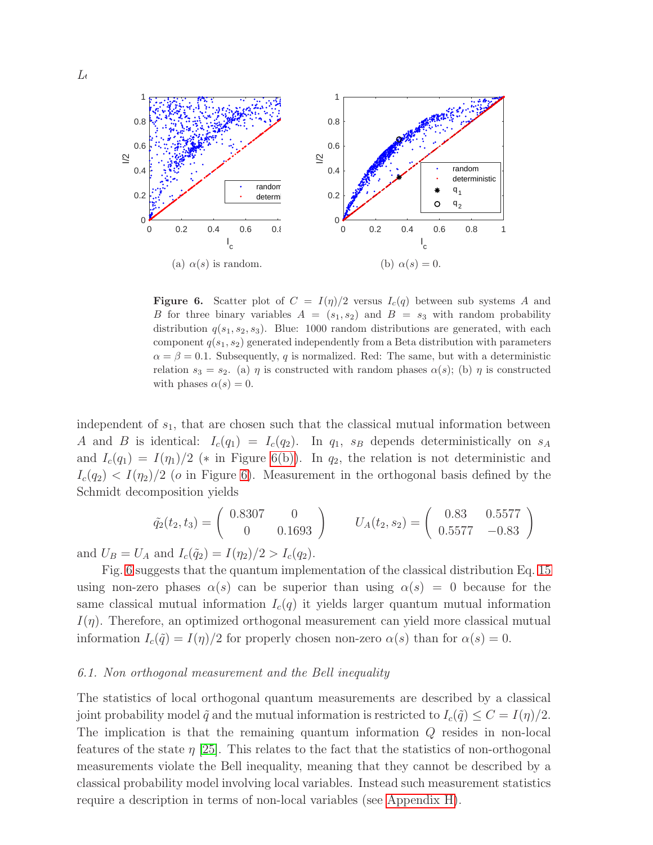<span id="page-15-1"></span>

<span id="page-15-3"></span><span id="page-15-2"></span>**Figure 6.** Scatter plot of  $C = I(\eta)/2$  versus  $I_c(q)$  between sub systems A and B for three binary variables  $A = (s_1, s_2)$  and  $B = s_3$  with random probability distribution  $q(s_1, s_2, s_3)$ . Blue: 1000 random distributions are generated, with each component  $q(s_1, s_2)$  generated independently from a Beta distribution with parameters  $\alpha = \beta = 0.1$ . Subsequently, q is normalized. Red: The same, but with a deterministic relation  $s_3 = s_2$ . (a)  $\eta$  is constructed with random phases  $\alpha(s)$ ; (b)  $\eta$  is constructed with phases  $\alpha(s) = 0$ .

independent of  $s<sub>1</sub>$ , that are chosen such that the classical mutual information between A and B is identical:  $I_c(q_1) = I_c(q_2)$ . In  $q_1$ ,  $s_B$  depends deterministically on  $s_A$ and  $I_c(q_1) = I(\eta_1)/2$  (\* in Figure [6\(b\)\)](#page-15-2). In  $q_2$ , the relation is not deterministic and  $I_c(q_2) < I(q_2)/2$  (*o* in Figure [6\)](#page-15-3). Measurement in the orthogonal basis defined by the Schmidt decomposition yields

$$
\tilde{q}_2(t_2, t_3) = \begin{pmatrix} 0.8307 & 0 \\ 0 & 0.1693 \end{pmatrix} \qquad U_A(t_2, s_2) = \begin{pmatrix} 0.83 & 0.5577 \\ 0.5577 & -0.83 \end{pmatrix}
$$

and  $U_B = U_A$  and  $I_c(\tilde{q}_2) = I(\eta_2)/2 > I_c(q_2)$ .

Fig. [6](#page-15-3) suggests that the quantum implementation of the classical distribution Eq. [15](#page-8-1) using non-zero phases  $\alpha(s)$  can be superior than using  $\alpha(s) = 0$  because for the same classical mutual information  $I_c(q)$  it yields larger quantum mutual information  $I(\eta)$ . Therefore, an optimized orthogonal measurement can yield more classical mutual information  $I_c(\tilde{q}) = I(\eta)/2$  for properly chosen non-zero  $\alpha(s)$  than for  $\alpha(s) = 0$ .

#### <span id="page-15-0"></span>6.1. Non orthogonal measurement and the Bell inequality

The statistics of local orthogonal quantum measurements are described by a classical joint probability model  $\tilde{q}$  and the mutual information is restricted to  $I_c(\tilde{q}) \leq C = I(\eta)/2$ . The implication is that the remaining quantum information Q resides in non-local features of the state  $\eta$  [\[25\]](#page-20-15). This relates to the fact that the statistics of non-orthogonal measurements violate the Bell inequality, meaning that they cannot be described by a classical probability model involving local variables. Instead such measurement statistics require a description in terms of non-local variables (see [Appendix H\)](#page-26-0).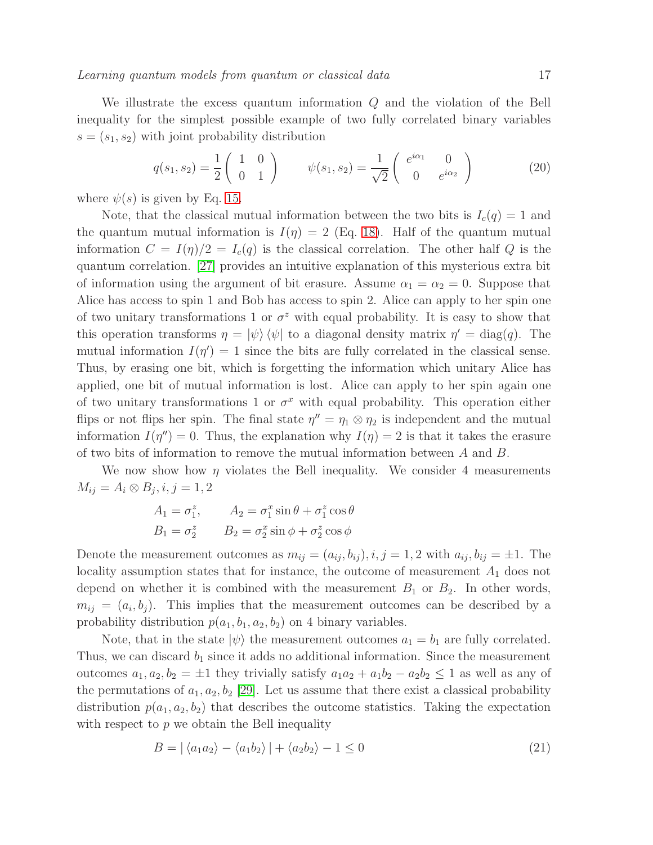We illustrate the excess quantum information Q and the violation of the Bell inequality for the simplest possible example of two fully correlated binary variables  $s = (s_1, s_2)$  with joint probability distribution

<span id="page-16-1"></span>
$$
q(s_1, s_2) = \frac{1}{2} \begin{pmatrix} 1 & 0 \\ 0 & 1 \end{pmatrix} \qquad \psi(s_1, s_2) = \frac{1}{\sqrt{2}} \begin{pmatrix} e^{i\alpha_1} & 0 \\ 0 & e^{i\alpha_2} \end{pmatrix}
$$
 (20)

where  $\psi(s)$  is given by Eq. [15.](#page-8-1)

Note, that the classical mutual information between the two bits is  $I_c(q) = 1$  and the quantum mutual information is  $I(\eta) = 2$  (Eq. [18\)](#page-14-1). Half of the quantum mutual information  $C = I(\eta)/2 = I_c(q)$  is the classical correlation. The other half Q is the quantum correlation. [\[27\]](#page-20-17) provides an intuitive explanation of this mysterious extra bit of information using the argument of bit erasure. Assume  $\alpha_1 = \alpha_2 = 0$ . Suppose that Alice has access to spin 1 and Bob has access to spin 2. Alice can apply to her spin one of two unitary transformations 1 or  $\sigma^z$  with equal probability. It is easy to show that this operation transforms  $\eta = |\psi\rangle \langle \psi|$  to a diagonal density matrix  $\eta' = \text{diag}(q)$ . The mutual information  $I(\eta') = 1$  since the bits are fully correlated in the classical sense. Thus, by erasing one bit, which is forgetting the information which unitary Alice has applied, one bit of mutual information is lost. Alice can apply to her spin again one of two unitary transformations 1 or  $\sigma^x$  with equal probability. This operation either flips or not flips her spin. The final state  $\eta'' = \eta_1 \otimes \eta_2$  is independent and the mutual information  $I(\eta'') = 0$ . Thus, the explanation why  $I(\eta) = 2$  is that it takes the erasure of two bits of information to remove the mutual information between A and B.

We now show how  $\eta$  violates the Bell inequality. We consider 4 measurements  $M_{ij} = A_i \otimes B_j, i, j = 1, 2$ 

$$
A_1 = \sigma_1^z, \qquad A_2 = \sigma_1^x \sin \theta + \sigma_1^z \cos \theta
$$
  

$$
B_1 = \sigma_2^z \qquad B_2 = \sigma_2^x \sin \phi + \sigma_2^z \cos \phi
$$

Denote the measurement outcomes as  $m_{ij} = (a_{ij}, b_{ij}), i, j = 1, 2$  with  $a_{ij}, b_{ij} = \pm 1$ . The locality assumption states that for instance, the outcome of measurement  $A_1$  does not depend on whether it is combined with the measurement  $B_1$  or  $B_2$ . In other words,  $m_{ij} = (a_i, b_j)$ . This implies that the measurement outcomes can be described by a probability distribution  $p(a_1, b_1, a_2, b_2)$  on 4 binary variables.

Note, that in the state  $|\psi\rangle$  the measurement outcomes  $a_1 = b_1$  are fully correlated. Thus, we can discard  $b_1$  since it adds no additional information. Since the measurement outcomes  $a_1, a_2, b_2 = \pm 1$  they trivially satisfy  $a_1a_2 + a_1b_2 - a_2b_2 \leq 1$  as well as any of the permutations of  $a_1, a_2, b_2$  [\[29\]](#page-20-19). Let us assume that there exist a classical probability distribution  $p(a_1, a_2, b_2)$  that describes the outcome statistics. Taking the expectation with respect to  $p$  we obtain the Bell inequality

<span id="page-16-0"></span>
$$
B = |\langle a_1 a_2 \rangle - \langle a_1 b_2 \rangle| + \langle a_2 b_2 \rangle - 1 \le 0
$$
\n(21)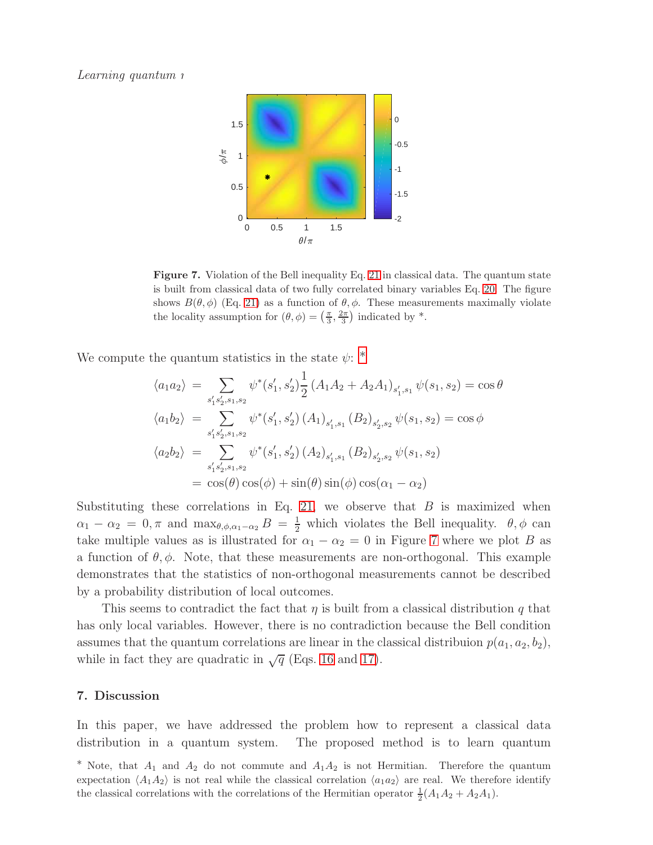

<span id="page-17-1"></span>Figure 7. Violation of the Bell inequality Eq. [21](#page-16-0) in classical data. The quantum state is built from classical data of two fully correlated binary variables Eq. [20.](#page-16-1) The figure shows  $B(\theta, \phi)$  (Eq. [21\)](#page-16-0) as a function of  $\theta, \phi$ . These measurements maximally violate the locality assumption for  $(\theta, \phi) = \left(\frac{\pi}{3}, \frac{2\pi}{3}\right)$  indicated by \*.

We compute the quantum statistics in the state  $\psi$ :  $*$ 

$$
\langle a_1 a_2 \rangle = \sum_{s_1's_2', s_1, s_2} \psi^*(s_1', s_2') \frac{1}{2} (A_1 A_2 + A_2 A_1)_{s_1', s_1} \psi(s_1, s_2) = \cos \theta
$$
  

$$
\langle a_1 b_2 \rangle = \sum_{s_1's_2', s_1, s_2} \psi^*(s_1', s_2') (A_1)_{s_1', s_1} (B_2)_{s_2', s_2} \psi(s_1, s_2) = \cos \phi
$$
  

$$
\langle a_2 b_2 \rangle = \sum_{s_1's_2', s_1, s_2} \psi^*(s_1', s_2') (A_2)_{s_1', s_1} (B_2)_{s_2', s_2} \psi(s_1, s_2)
$$
  

$$
= \cos(\theta) \cos(\phi) + \sin(\theta) \sin(\phi) \cos(\alpha_1 - \alpha_2)
$$

Substituting these correlations in Eq. [21,](#page-16-0) we observe that  $B$  is maximized when  $\alpha_1 - \alpha_2 = 0, \pi$  and  $\max_{\theta, \phi, \alpha_1 - \alpha_2} B = \frac{1}{2}$  which violates the Bell inequality.  $\theta, \phi$  can take multiple values as is illustrated for  $\alpha_1 - \alpha_2 = 0$  in Figure [7](#page-17-1) where we plot B as a function of  $\theta$ ,  $\phi$ . Note, that these measurements are non-orthogonal. This example demonstrates that the statistics of non-orthogonal measurements cannot be described by a probability distribution of local outcomes.

This seems to contradict the fact that  $\eta$  is built from a classical distribution q that has only local variables. However, there is no contradiction because the Bell condition assumes that the quantum correlations are linear in the classical distribuion  $p(a_1, a_2, b_2)$ , while in fact they are quadratic in  $\sqrt{q}$  (Eqs. [16](#page-8-2) and [17\)](#page-9-1).

#### 7. Discussion

In this paper, we have addressed the problem how to represent a classical data distribution in a quantum system. The proposed method is to learn quantum

<span id="page-17-0"></span><sup>\*</sup> Note, that  $A_1$  and  $A_2$  do not commute and  $A_1A_2$  is not Hermitian. Therefore the quantum expectation  $\langle A_1 A_2 \rangle$  is not real while the classical correlation  $\langle a_1 a_2 \rangle$  are real. We therefore identify the classical correlations with the correlations of the Hermitian operator  $\frac{1}{2}(A_1A_2 + A_2A_1)$ .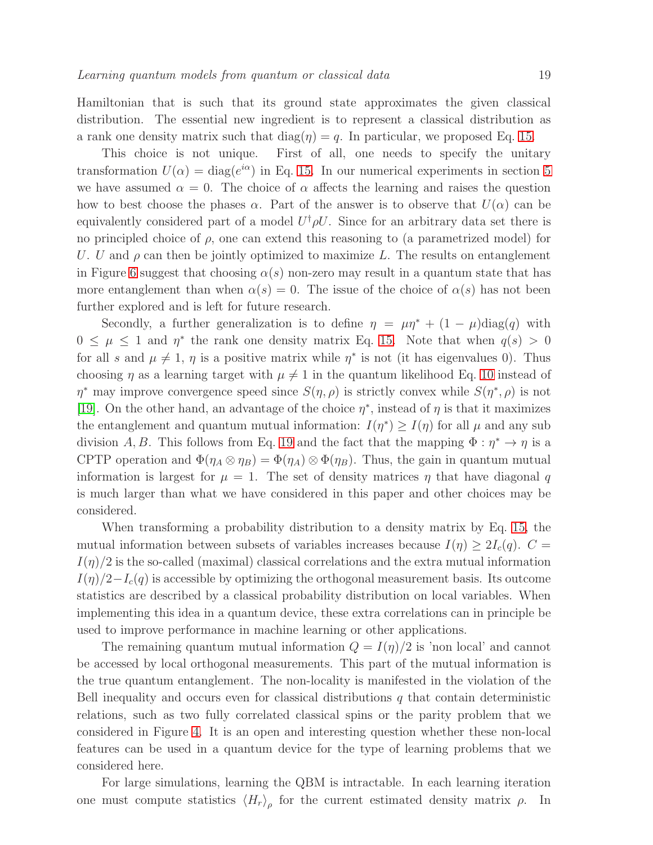Hamiltonian that is such that its ground state approximates the given classical distribution. The essential new ingredient is to represent a classical distribution as a rank one density matrix such that  $\text{diag}(\eta) = q$ . In particular, we proposed Eq. [15.](#page-8-1)

This choice is not unique. First of all, one needs to specify the unitary transformation  $U(\alpha) = \text{diag}(e^{i\alpha})$  in Eq. [15.](#page-8-1) In our numerical experiments in section [5](#page-8-0) we have assumed  $\alpha = 0$ . The choice of  $\alpha$  affects the learning and raises the question how to best choose the phases  $\alpha$ . Part of the answer is to observe that  $U(\alpha)$  can be equivalently considered part of a model  $U^{\dagger} \rho U$ . Since for an arbitrary data set there is no principled choice of  $\rho$ , one can extend this reasoning to (a parametrized model) for U. U and  $\rho$  can then be jointly optimized to maximize L. The results on entanglement in Figure [6](#page-15-3) suggest that choosing  $\alpha(s)$  non-zero may result in a quantum state that has more entanglement than when  $\alpha(s) = 0$ . The issue of the choice of  $\alpha(s)$  has not been further explored and is left for future research.

Secondly, a further generalization is to define  $\eta = \mu \eta^* + (1 - \mu) \text{diag}(q)$  with  $0 \leq \mu \leq 1$  and  $\eta^*$  the rank one density matrix Eq. [15.](#page-8-1) Note that when  $q(s) > 0$ for all s and  $\mu \neq 1$ ,  $\eta$  is a positive matrix while  $\eta^*$  is not (it has eigenvalues 0). Thus choosing  $\eta$  as a learning target with  $\mu \neq 1$  in the quantum likelihood Eq. [10](#page-4-2) instead of  $\eta^*$  may improve convergence speed since  $S(\eta, \rho)$  is strictly convex while  $S(\eta^*, \rho)$  is not [\[19\]](#page-20-9). On the other hand, an advantage of the choice  $\eta^*$ , instead of  $\eta$  is that it maximizes the entanglement and quantum mutual information:  $I(\eta^*) \geq I(\eta)$  for all  $\mu$  and any sub division A, B. This follows from Eq. [19](#page-14-2) and the fact that the mapping  $\Phi : \eta^* \to \eta$  is a CPTP operation and  $\Phi(\eta_A \otimes \eta_B) = \Phi(\eta_A) \otimes \Phi(\eta_B)$ . Thus, the gain in quantum mutual information is largest for  $\mu = 1$ . The set of density matrices  $\eta$  that have diagonal q is much larger than what we have considered in this paper and other choices may be considered.

When transforming a probability distribution to a density matrix by Eq. [15,](#page-8-1) the mutual information between subsets of variables increases because  $I(\eta) \geq 2I_c(q)$ .  $C =$  $I(\eta)/2$  is the so-called (maximal) classical correlations and the extra mutual information  $I(\eta)/2-I_c(q)$  is accessible by optimizing the orthogonal measurement basis. Its outcome statistics are described by a classical probability distribution on local variables. When implementing this idea in a quantum device, these extra correlations can in principle be used to improve performance in machine learning or other applications.

The remaining quantum mutual information  $Q = I(\eta)/2$  is 'non local' and cannot be accessed by local orthogonal measurements. This part of the mutual information is the true quantum entanglement. The non-locality is manifested in the violation of the Bell inequality and occurs even for classical distributions  $q$  that contain deterministic relations, such as two fully correlated classical spins or the parity problem that we considered in Figure [4.](#page-11-3) It is an open and interesting question whether these non-local features can be used in a quantum device for the type of learning problems that we considered here.

For large simulations, learning the QBM is intractable. In each learning iteration one must compute statistics  $\langle H_r \rangle_\rho$  for the current estimated density matrix  $\rho$ . In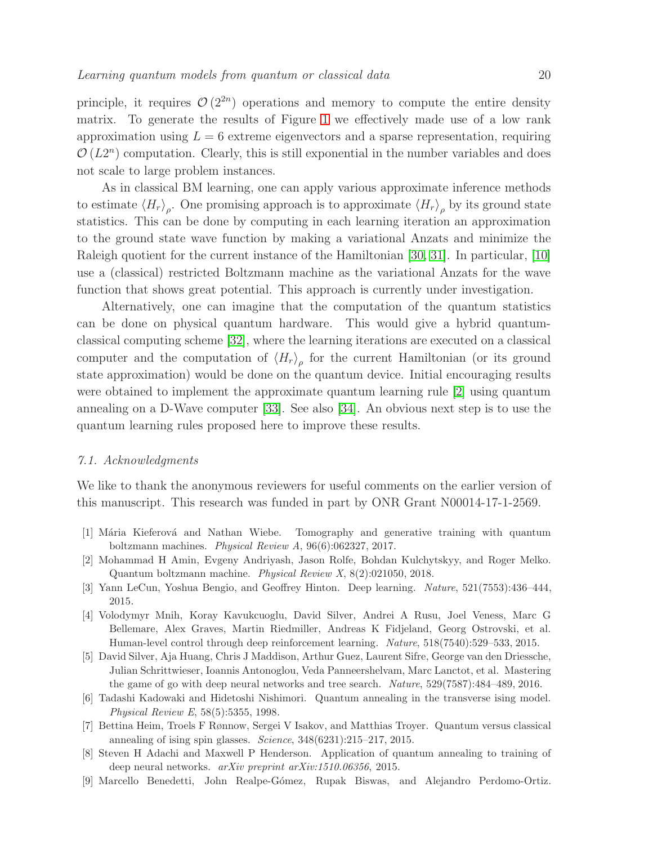principle, it requires  $\mathcal{O}(2^{2n})$  operations and memory to compute the entire density matrix. To generate the results of Figure [1](#page-6-0) we effectively made use of a low rank approximation using  $L = 6$  extreme eigenvectors and a sparse representation, requiring  $\mathcal{O}(L2^n)$  computation. Clearly, this is still exponential in the number variables and does not scale to large problem instances.

As in classical BM learning, one can apply various approximate inference methods to estimate  $\langle H_r \rangle_\rho$ . One promising approach is to approximate  $\langle H_r \rangle_\rho$  by its ground state statistics. This can be done by computing in each learning iteration an approximation to the ground state wave function by making a variational Anzats and minimize the Raleigh quotient for the current instance of the Hamiltonian [\[30,](#page-20-20) [31\]](#page-20-21). In particular, [\[10\]](#page-20-0) use a (classical) restricted Boltzmann machine as the variational Anzats for the wave function that shows great potential. This approach is currently under investigation.

Alternatively, one can imagine that the computation of the quantum statistics can be done on physical quantum hardware. This would give a hybrid quantumclassical computing scheme [\[32\]](#page-20-22), where the learning iterations are executed on a classical computer and the computation of  $\langle H_r \rangle_\rho$  for the current Hamiltonian (or its ground state approximation) would be done on the quantum device. Initial encouraging results were obtained to implement the approximate quantum learning rule [\[2\]](#page-19-1) using quantum annealing on a D-Wave computer [\[33\]](#page-20-23). See also [\[34\]](#page-21-2). An obvious next step is to use the quantum learning rules proposed here to improve these results.

#### 7.1. Acknowledgments

We like to thank the anonymous reviewers for useful comments on the earlier version of this manuscript. This research was funded in part by ONR Grant N00014-17-1-2569.

- <span id="page-19-1"></span><span id="page-19-0"></span>[1] Mária Kieferová and Nathan Wiebe. Tomography and generative training with quantum boltzmann machines. *Physical Review A*, 96(6):062327, 2017.
- <span id="page-19-2"></span>[2] Mohammad H Amin, Evgeny Andriyash, Jason Rolfe, Bohdan Kulchytskyy, and Roger Melko. Quantum boltzmann machine. *Physical Review X*, 8(2):021050, 2018.
- <span id="page-19-3"></span>[3] Yann LeCun, Yoshua Bengio, and Geoffrey Hinton. Deep learning. *Nature*, 521(7553):436–444, 2015.
- [4] Volodymyr Mnih, Koray Kavukcuoglu, David Silver, Andrei A Rusu, Joel Veness, Marc G Bellemare, Alex Graves, Martin Riedmiller, Andreas K Fidjeland, Georg Ostrovski, et al. Human-level control through deep reinforcement learning. *Nature*, 518(7540):529–533, 2015.
- <span id="page-19-4"></span>[5] David Silver, Aja Huang, Chris J Maddison, Arthur Guez, Laurent Sifre, George van den Driessche, Julian Schrittwieser, Ioannis Antonoglou, Veda Panneershelvam, Marc Lanctot, et al. Mastering the game of go with deep neural networks and tree search. *Nature*, 529(7587):484–489, 2016.
- <span id="page-19-5"></span>[6] Tadashi Kadowaki and Hidetoshi Nishimori. Quantum annealing in the transverse ising model. *Physical Review E*, 58(5):5355, 1998.
- <span id="page-19-6"></span>[7] Bettina Heim, Troels F Rønnow, Sergei V Isakov, and Matthias Troyer. Quantum versus classical annealing of ising spin glasses. *Science*, 348(6231):215–217, 2015.
- <span id="page-19-7"></span>[8] Steven H Adachi and Maxwell P Henderson. Application of quantum annealing to training of deep neural networks. *arXiv preprint arXiv:1510.06356*, 2015.
- <span id="page-19-8"></span>[9] Marcello Benedetti, John Realpe-G´omez, Rupak Biswas, and Alejandro Perdomo-Ortiz.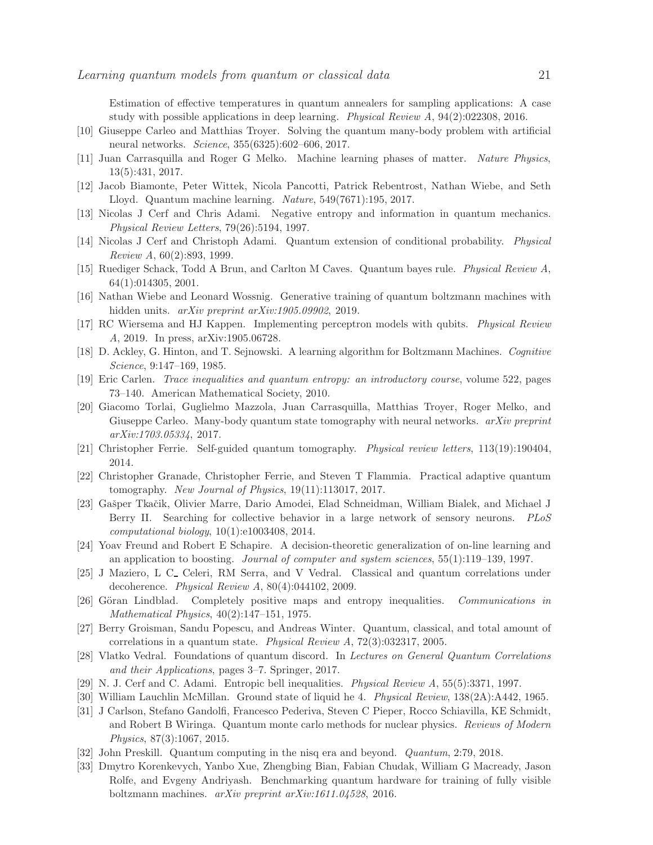Estimation of effective temperatures in quantum annealers for sampling applications: A case study with possible applications in deep learning. *Physical Review A*, 94(2):022308, 2016.

- <span id="page-20-1"></span><span id="page-20-0"></span>[10] Giuseppe Carleo and Matthias Troyer. Solving the quantum many-body problem with artificial neural networks. *Science*, 355(6325):602–606, 2017.
- <span id="page-20-2"></span>[11] Juan Carrasquilla and Roger G Melko. Machine learning phases of matter. *Nature Physics*, 13(5):431, 2017.
- <span id="page-20-3"></span>[12] Jacob Biamonte, Peter Wittek, Nicola Pancotti, Patrick Rebentrost, Nathan Wiebe, and Seth Lloyd. Quantum machine learning. *Nature*, 549(7671):195, 2017.
- <span id="page-20-4"></span>[13] Nicolas J Cerf and Chris Adami. Negative entropy and information in quantum mechanics. *Physical Review Letters*, 79(26):5194, 1997.
- <span id="page-20-5"></span>[14] Nicolas J Cerf and Christoph Adami. Quantum extension of conditional probability. *Physical Review A*, 60(2):893, 1999.
- <span id="page-20-6"></span>[15] Ruediger Schack, Todd A Brun, and Carlton M Caves. Quantum bayes rule. *Physical Review A*, 64(1):014305, 2001.
- <span id="page-20-7"></span>[16] Nathan Wiebe and Leonard Wossnig. Generative training of quantum boltzmann machines with hidden units. *arXiv preprint arXiv:1905.09902*, 2019.
- <span id="page-20-8"></span>[17] RC Wiersema and HJ Kappen. Implementing perceptron models with qubits. *Physical Review A*, 2019. In press, arXiv:1905.06728.
- <span id="page-20-9"></span>[18] D. Ackley, G. Hinton, and T. Sejnowski. A learning algorithm for Boltzmann Machines. *Cognitive Science*, 9:147–169, 1985.
- <span id="page-20-10"></span>[19] Eric Carlen. *Trace inequalities and quantum entropy: an introductory course*, volume 522, pages 73–140. American Mathematical Society, 2010.
- [20] Giacomo Torlai, Guglielmo Mazzola, Juan Carrasquilla, Matthias Troyer, Roger Melko, and Giuseppe Carleo. Many-body quantum state tomography with neural networks. *arXiv preprint arXiv:1703.05334*, 2017.
- <span id="page-20-12"></span><span id="page-20-11"></span>[21] Christopher Ferrie. Self-guided quantum tomography. *Physical review letters*, 113(19):190404, 2014.
- <span id="page-20-13"></span>[22] Christopher Granade, Christopher Ferrie, and Steven T Flammia. Practical adaptive quantum tomography. *New Journal of Physics*, 19(11):113017, 2017.
- [23] Gašper Tkačik, Olivier Marre, Dario Amodei, Elad Schneidman, William Bialek, and Michael J Berry II. Searching for collective behavior in a large network of sensory neurons. *PLoS computational biology*, 10(1):e1003408, 2014.
- <span id="page-20-14"></span>[24] Yoav Freund and Robert E Schapire. A decision-theoretic generalization of on-line learning and an application to boosting. *Journal of computer and system sciences*, 55(1):119–139, 1997.
- <span id="page-20-15"></span>[25] J Maziero, L C<sub>-</sub> Celeri, RM Serra, and V Vedral. Classical and quantum correlations under decoherence. *Physical Review A*, 80(4):044102, 2009.
- <span id="page-20-16"></span>[26] Göran Lindblad. Completely positive maps and entropy inequalities. *Communications in Mathematical Physics*, 40(2):147–151, 1975.
- <span id="page-20-17"></span>[27] Berry Groisman, Sandu Popescu, and Andreas Winter. Quantum, classical, and total amount of correlations in a quantum state. *Physical Review A*, 72(3):032317, 2005.
- <span id="page-20-18"></span>[28] Vlatko Vedral. Foundations of quantum discord. In *Lectures on General Quantum Correlations and their Applications*, pages 3–7. Springer, 2017.
- <span id="page-20-20"></span><span id="page-20-19"></span>[29] N. J. Cerf and C. Adami. Entropic bell inequalities. *Physical Review A*, 55(5):3371, 1997.
- <span id="page-20-21"></span>[30] William Lauchlin McMillan. Ground state of liquid he 4. *Physical Review*, 138(2A):A442, 1965.
- [31] J Carlson, Stefano Gandolfi, Francesco Pederiva, Steven C Pieper, Rocco Schiavilla, KE Schmidt, and Robert B Wiringa. Quantum monte carlo methods for nuclear physics. *Reviews of Modern Physics*, 87(3):1067, 2015.
- <span id="page-20-23"></span><span id="page-20-22"></span>[32] John Preskill. Quantum computing in the nisq era and beyond. *Quantum*, 2:79, 2018.
- [33] Dmytro Korenkevych, Yanbo Xue, Zhengbing Bian, Fabian Chudak, William G Macready, Jason Rolfe, and Evgeny Andriyash. Benchmarking quantum hardware for training of fully visible boltzmann machines. *arXiv preprint arXiv:1611.04528*, 2016.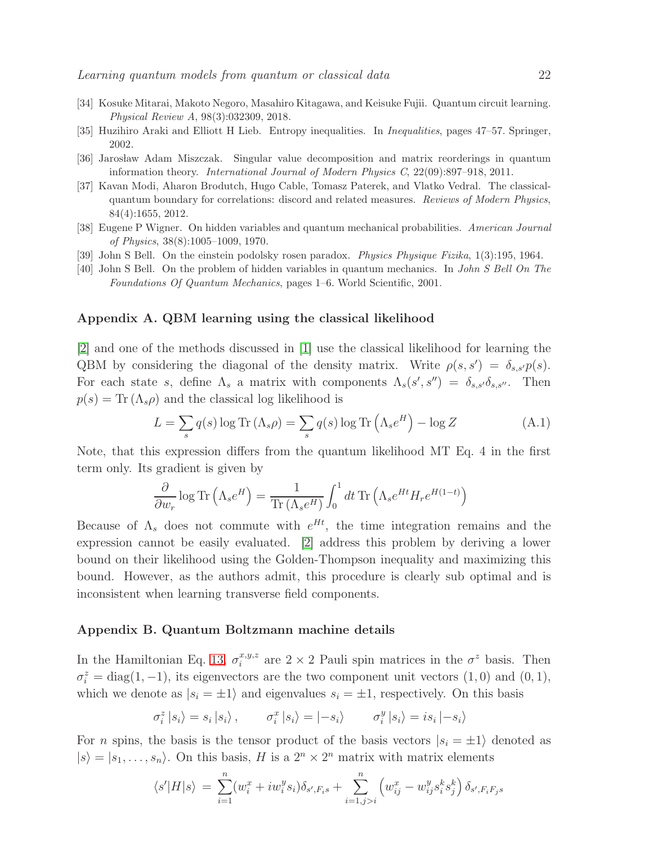- <span id="page-21-3"></span><span id="page-21-2"></span>[34] Kosuke Mitarai, Makoto Negoro, Masahiro Kitagawa, and Keisuke Fujii. Quantum circuit learning. *Physical Review A*, 98(3):032309, 2018.
- <span id="page-21-4"></span>[35] Huzihiro Araki and Elliott H Lieb. Entropy inequalities. In *Inequalities*, pages 47–57. Springer, 2002.
- <span id="page-21-5"></span>[36] Jarosław Adam Miszczak. Singular value decomposition and matrix reorderings in quantum information theory. *International Journal of Modern Physics C*, 22(09):897–918, 2011.
- [37] Kavan Modi, Aharon Brodutch, Hugo Cable, Tomasz Paterek, and Vlatko Vedral. The classicalquantum boundary for correlations: discord and related measures. *Reviews of Modern Physics*, 84(4):1655, 2012.
- <span id="page-21-7"></span><span id="page-21-6"></span>[38] Eugene P Wigner. On hidden variables and quantum mechanical probabilities. *American Journal of Physics*, 38(8):1005–1009, 1970.
- <span id="page-21-8"></span>[39] John S Bell. On the einstein podolsky rosen paradox. *Physics Physique Fizika*, 1(3):195, 1964.
- [40] John S Bell. On the problem of hidden variables in quantum mechanics. In *John S Bell On The Foundations Of Quantum Mechanics*, pages 1–6. World Scientific, 2001.

## <span id="page-21-0"></span>Appendix A. QBM learning using the classical likelihood

[\[2\]](#page-19-1) and one of the methods discussed in [\[1\]](#page-19-0) use the classical likelihood for learning the QBM by considering the diagonal of the density matrix. Write  $\rho(s, s') = \delta_{s,s'} p(s)$ . For each state s, define  $\Lambda_s$  a matrix with components  $\Lambda_s(s', s'') = \delta_{s,s'}\delta_{s,s''}$ . Then  $p(s) = \text{Tr} (\Lambda_s \rho)$  and the classical log likelihood is

$$
L = \sum_{s} q(s) \log \text{Tr} \left( \Lambda_s \rho \right) = \sum_{s} q(s) \log \text{Tr} \left( \Lambda_s e^H \right) - \log Z \tag{A.1}
$$

Note, that this expression differs from the quantum likelihood MT Eq. 4 in the first term only. Its gradient is given by

$$
\frac{\partial}{\partial w_r} \log \text{Tr}\left(\Lambda_s e^H\right) = \frac{1}{\text{Tr}\left(\Lambda_s e^H\right)} \int_0^1 dt \, \text{Tr}\left(\Lambda_s e^{Ht} H_r e^{H(1-t)}\right)
$$

Because of  $\Lambda_s$  does not commute with  $e^{Ht}$ , the time integration remains and the expression cannot be easily evaluated. [\[2\]](#page-19-1) address this problem by deriving a lower bound on their likelihood using the Golden-Thompson inequality and maximizing this bound. However, as the authors admit, this procedure is clearly sub optimal and is inconsistent when learning transverse field components.

## <span id="page-21-1"></span>Appendix B. Quantum Boltzmann machine details

In the Hamiltonian Eq. [13,](#page-5-1)  $\sigma_i^{x,y,z}$  are  $2 \times 2$  Pauli spin matrices in the  $\sigma^z$  basis. Then  $\sigma_i^z = \text{diag}(1, -1)$ , its eigenvectors are the two component unit vectors  $(1, 0)$  and  $(0, 1)$ , which we denote as  $|s_i = \pm 1\rangle$  and eigenvalues  $s_i = \pm 1$ , respectively. On this basis

$$
\sigma_i^z | s_i \rangle = s_i | s_i \rangle, \qquad \sigma_i^x | s_i \rangle = |- s_i \rangle \qquad \sigma_i^y | s_i \rangle = i s_i | - s_i \rangle
$$

For *n* spins, the basis is the tensor product of the basis vectors  $|s_i = \pm 1\rangle$  denoted as  $|s\rangle = |s_1, \ldots, s_n\rangle$ . On this basis, H is a  $2^n \times 2^n$  matrix with matrix elements

$$
\langle s'|H|s\rangle = \sum_{i=1}^{n} (w_i^x + iw_i^y s_i) \delta_{s',F_i s} + \sum_{i=1,j>i}^{n} \left(w_{ij}^x - w_{ij}^y s_i^k s_j^k\right) \delta_{s',F_i F_j s}
$$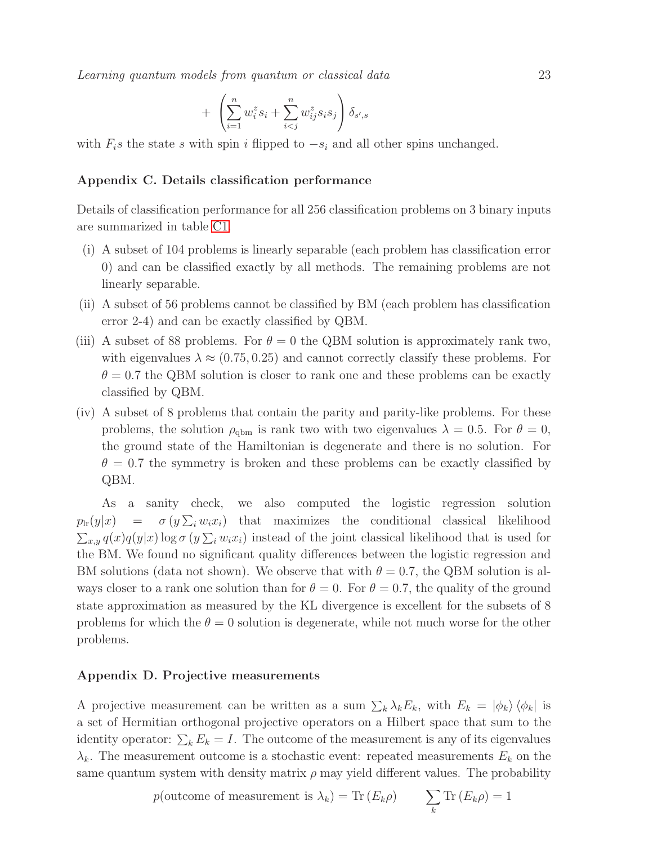Learning quantum models from quantum or classical data 23

$$
+\left(\sum_{i=1}^n w_i^z s_i + \sum_{i
$$

with  $F_i$ s the state s with spin i flipped to  $-s_i$  and all other spins unchanged.

#### Appendix C. Details classification performance

Details of classification performance for all 256 classification problems on 3 binary inputs are summarized in table [C1.](#page-23-0)

- (i) A subset of 104 problems is linearly separable (each problem has classification error 0) and can be classified exactly by all methods. The remaining problems are not linearly separable.
- (ii) A subset of 56 problems cannot be classified by BM (each problem has classification error 2-4) and can be exactly classified by QBM.
- (iii) A subset of 88 problems. For  $\theta = 0$  the QBM solution is approximately rank two, with eigenvalues  $\lambda \approx (0.75, 0.25)$  and cannot correctly classify these problems. For  $\theta = 0.7$  the QBM solution is closer to rank one and these problems can be exactly classified by QBM.
- (iv) A subset of 8 problems that contain the parity and parity-like problems. For these problems, the solution  $\rho_{\text{qbm}}$  is rank two with two eigenvalues  $\lambda = 0.5$ . For  $\theta = 0$ , the ground state of the Hamiltonian is degenerate and there is no solution. For  $\theta = 0.7$  the symmetry is broken and these problems can be exactly classified by QBM.

As a sanity check, we also computed the logistic regression solution  $p_{\text{lr}}(y|x) = \sigma(y\sum_i w_i x_i)$  that maximizes the conditional classical likelihood  $\sum_{x,y} q(x)q(y|x)$  log  $\sigma(y)\sum_i w_i x_i$  instead of the joint classical likelihood that is used for the BM. We found no significant quality differences between the logistic regression and BM solutions (data not shown). We observe that with  $\theta = 0.7$ , the QBM solution is always closer to a rank one solution than for  $\theta = 0$ . For  $\theta = 0.7$ , the quality of the ground state approximation as measured by the KL divergence is excellent for the subsets of 8 problems for which the  $\theta = 0$  solution is degenerate, while not much worse for the other problems.

#### <span id="page-22-0"></span>Appendix D. Projective measurements

A projective measurement can be written as a sum  $\sum_k \lambda_k E_k$ , with  $E_k = |\phi_k\rangle \langle \phi_k|$  is a set of Hermitian orthogonal projective operators on a Hilbert space that sum to the identity operator:  $\sum_k E_k = I$ . The outcome of the measurement is any of its eigenvalues  $\lambda_k$ . The measurement outcome is a stochastic event: repeated measurements  $E_k$  on the same quantum system with density matrix  $\rho$  may yield different values. The probability

> p(outcome of measurement is  $\lambda_k$ ) = Tr  $(E_k \rho)$  $\sum$ k  $\text{Tr}\left(E_k\rho\right)=1$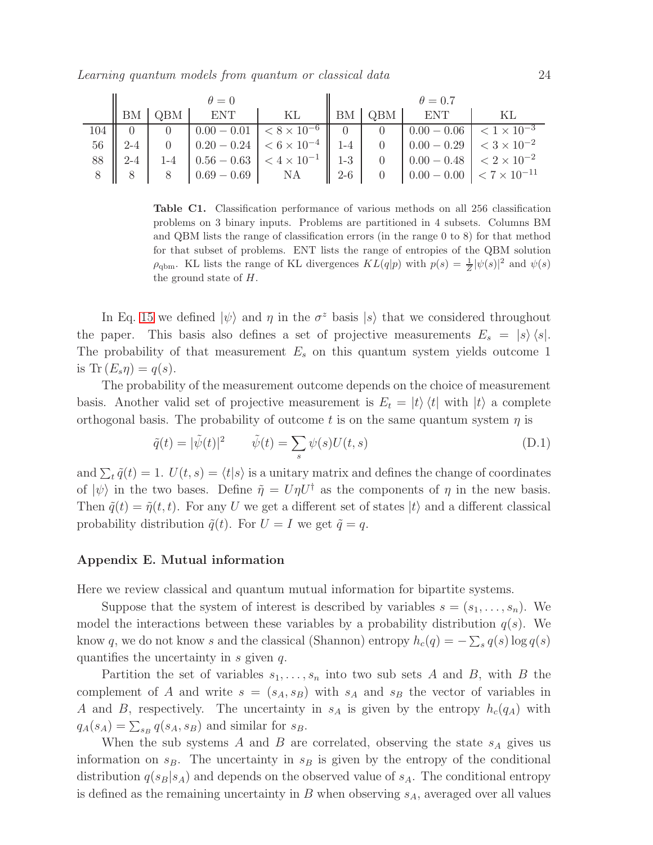| $\theta = 0$ |  |  |                                                                                                                                                                                           | $\theta = 0.7$ |  |  |  |
|--------------|--|--|-------------------------------------------------------------------------------------------------------------------------------------------------------------------------------------------|----------------|--|--|--|
|              |  |  | $\parallel$ BM $\parallel$ QBM $\parallel$ ENT $\parallel$ KL $\parallel$ BM $\parallel$ QBM $\parallel$ ENT $\parallel$ KL                                                               |                |  |  |  |
|              |  |  |                                                                                                                                                                                           |                |  |  |  |
|              |  |  | $56 \parallel 2-4 \parallel 0 \parallel 0.20 - 0.24 \parallel < 6 \times 10^{-4} \parallel 1-4 \parallel 0 \parallel 0.00 - 0.29 \parallel < 3 \times 10^{-2}$                            |                |  |  |  |
|              |  |  | 88 $\begin{vmatrix} 2-4 & 1 & -4 \end{vmatrix}$ 0.56 - 0.63 $\begin{vmatrix} 4 \times 10^{-1} & 1 & -3 \end{vmatrix}$ 0 $\begin{vmatrix} 0.00 & -0.48 \end{vmatrix}$ < $2 \times 10^{-2}$ |                |  |  |  |
|              |  |  | 8   8   8   0.69 - 0.69   NA   2-6   0   0.00 - 0.00   $\langle 7 \times 10^{-11} \rangle$                                                                                                |                |  |  |  |

<span id="page-23-0"></span>Table C1. Classification performance of various methods on all 256 classification problems on 3 binary inputs. Problems are partitioned in 4 subsets. Columns BM and QBM lists the range of classification errors (in the range 0 to 8) for that method for that subset of problems. ENT lists the range of entropies of the QBM solution  $\rho_{\text{qbm}}$ . KL lists the range of KL divergences  $KL(q|p)$  with  $p(s) = \frac{1}{Z}|\psi(s)|^2$  and  $\psi(s)$ the ground state of H.

In Eq. [15](#page-8-1) we defined  $|\psi\rangle$  and  $\eta$  in the  $\sigma^z$  basis  $|s\rangle$  that we considered throughout the paper. This basis also defines a set of projective measurements  $E_s = |s\rangle\langle s|$ . The probability of that measurement  $E_s$  on this quantum system yields outcome 1 is Tr  $(E_s \eta) = q(s)$ .

The probability of the measurement outcome depends on the choice of measurement basis. Another valid set of projective measurement is  $E_t = |t\rangle \langle t|$  with  $|t\rangle$  a complete orthogonal basis. The probability of outcome t is on the same quantum system  $\eta$  is

<span id="page-23-2"></span>
$$
\tilde{q}(t) = |\tilde{\psi}(t)|^2 \qquad \tilde{\psi}(t) = \sum_{s} \psi(s) U(t, s)
$$
\n(D.1)

and  $\sum_{t} \tilde{q}(t) = 1$ .  $U(t, s) = \langle t | s \rangle$  is a unitary matrix and defines the change of coordinates of  $|\psi\rangle$  in the two bases. Define  $\tilde{\eta} = U\eta U^{\dagger}$  as the components of  $\eta$  in the new basis. Then  $\tilde{q}(t) = \tilde{\eta}(t, t)$ . For any U we get a different set of states  $|t\rangle$  and a different classical probability distribution  $\tilde{q}(t)$ . For  $U = I$  we get  $\tilde{q} = q$ .

# <span id="page-23-1"></span>Appendix E. Mutual information

Here we review classical and quantum mutual information for bipartite systems.

Suppose that the system of interest is described by variables  $s = (s_1, \ldots, s_n)$ . We model the interactions between these variables by a probability distribution  $q(s)$ . We know q, we do not know s and the classical (Shannon) entropy  $h_c(q) = -\sum_s q(s) \log q(s)$ quantifies the uncertainty in  $s$  given  $q$ .

Partition the set of variables  $s_1, \ldots, s_n$  into two sub sets A and B, with B the complement of A and write  $s = (s_A, s_B)$  with  $s_A$  and  $s_B$  the vector of variables in A and B, respectively. The uncertainty in  $s_A$  is given by the entropy  $h_c(q_A)$  with  $q_A(s_A) = \sum_{s_B} q(s_A, s_B)$  and similar for  $s_B$ .

When the sub systems  $A$  and  $B$  are correlated, observing the state  $s_A$  gives us information on  $s_B$ . The uncertainty in  $s_B$  is given by the entropy of the conditional distribution  $q(s_B|s_A)$  and depends on the observed value of  $s_A$ . The conditional entropy is defined as the remaining uncertainty in  $B$  when observing  $s_A$ , averaged over all values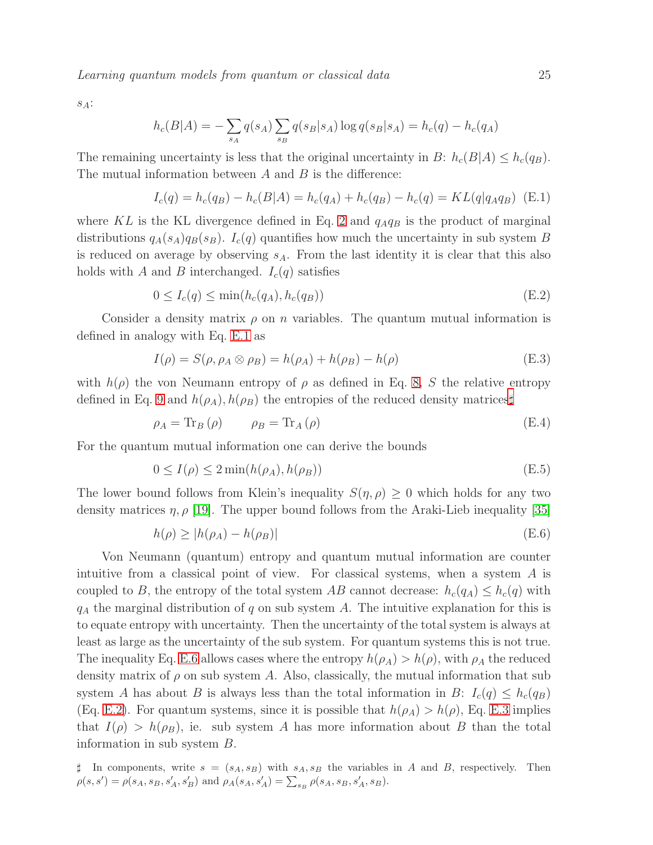Learning quantum models from quantum or classical data 25

 $s_A$ :

$$
h_c(B|A) = -\sum_{s_A} q(s_A) \sum_{s_B} q(s_B|s_A) \log q(s_B|s_A) = h_c(q) - h_c(q_A)
$$

The remaining uncertainty is less that the original uncertainty in B:  $h_c(B|A) \leq h_c(q_B)$ . The mutual information between  $A$  and  $B$  is the difference:

<span id="page-24-1"></span>
$$
I_c(q) = h_c(q_B) - h_c(B|A) = h_c(q_A) + h_c(q_B) - h_c(q) = KL(q|q_Aq_B)
$$
 (E.1)

where KL is the KL divergence defined in Eq. [2](#page-3-4) and  $q_Aq_B$  is the product of marginal distributions  $q_A(s_A)q_B(s_B)$ .  $I_c(q)$  quantifies how much the uncertainty in sub system B is reduced on average by observing  $s_A$ . From the last identity it is clear that this also holds with A and B interchanged.  $I_c(q)$  satisfies

<span id="page-24-4"></span>
$$
0 \le I_c(q) \le \min(h_c(q_A), h_c(q_B))
$$
\n(E.2)

Consider a density matrix  $\rho$  on n variables. The quantum mutual information is defined in analogy with Eq. [E.1](#page-24-1) as

<span id="page-24-0"></span>
$$
I(\rho) = S(\rho, \rho_A \otimes \rho_B) = h(\rho_A) + h(\rho_B) - h(\rho)
$$
 (E.3)

with  $h(\rho)$  the von Neumann entropy of  $\rho$  as defined in Eq. [8,](#page-4-4) S the relative entropy defined in Eq. [9](#page-4-0) and  $h(\rho_A), h(\rho_B)$  the entropies of the reduced density matrices

$$
\rho_A = \text{Tr}_B \left( \rho \right) \qquad \rho_B = \text{Tr}_A \left( \rho \right) \tag{E.4}
$$

For the quantum mutual information one can derive the bounds

$$
0 \le I(\rho) \le 2 \min(h(\rho_A), h(\rho_B)) \tag{E.5}
$$

The lower bound follows from Klein's inequality  $S(\eta, \rho) \geq 0$  which holds for any two density matrices  $\eta$ ,  $\rho$  [\[19\]](#page-20-9). The upper bound follows from the Araki-Lieb inequality [\[35\]](#page-21-3)

<span id="page-24-3"></span>
$$
h(\rho) \ge |h(\rho_A) - h(\rho_B)| \tag{E.6}
$$

Von Neumann (quantum) entropy and quantum mutual information are counter intuitive from a classical point of view. For classical systems, when a system A is coupled to B, the entropy of the total system AB cannot decrease:  $h_c(q_A) \leq h_c(q)$  with  $q_A$  the marginal distribution of q on sub system A. The intuitive explanation for this is to equate entropy with uncertainty. Then the uncertainty of the total system is always at least as large as the uncertainty of the sub system. For quantum systems this is not true. The inequality Eq. [E.6](#page-24-3) allows cases where the entropy  $h(\rho_A) > h(\rho)$ , with  $\rho_A$  the reduced density matrix of  $\rho$  on sub system A. Also, classically, the mutual information that sub system A has about B is always less than the total information in B:  $I_c(q) \leq h_c(q_B)$ (Eq. [E.2\)](#page-24-4). For quantum systems, since it is possible that  $h(\rho_A) > h(\rho)$ , Eq. [E.3](#page-24-0) implies that  $I(\rho) > h(\rho_B)$ , ie. sub system A has more information about B than the total information in sub system B.

<span id="page-24-2"></span> $\sharp$  In components, write  $s = (s_A, s_B)$  with  $s_A, s_B$  the variables in A and B, respectively. Then  $\rho(s, s') = \rho(s_A, s_B, s'_A, s'_B)$  and  $\rho_A(s_A, s'_A) = \sum_{s_B} \rho(s_A, s_B, s'_A, s_B)$ .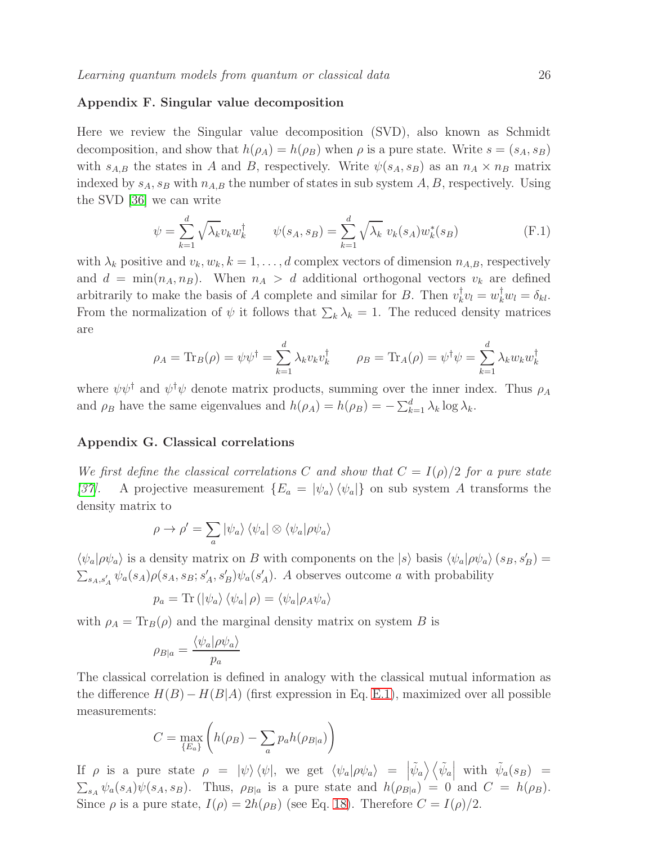## <span id="page-25-0"></span>Appendix F. Singular value decomposition

Here we review the Singular value decomposition (SVD), also known as Schmidt decomposition, and show that  $h(\rho_A) = h(\rho_B)$  when  $\rho$  is a pure state. Write  $s = (s_A, s_B)$ with  $s_{A,B}$  the states in A and B, respectively. Write  $\psi(s_A, s_B)$  as an  $n_A \times n_B$  matrix indexed by  $s_A$ ,  $s_B$  with  $n_{A,B}$  the number of states in sub system  $A, B$ , respectively. Using the SVD [\[36\]](#page-21-4) we can write

<span id="page-25-2"></span>
$$
\psi = \sum_{k=1}^{d} \sqrt{\lambda_k} v_k w_k^{\dagger} \qquad \psi(s_A, s_B) = \sum_{k=1}^{d} \sqrt{\lambda_k} v_k(s_A) w_k^*(s_B)
$$
(F.1)

with  $\lambda_k$  positive and  $v_k, w_k, k = 1, ..., d$  complex vectors of dimension  $n_{A,B}$ , respectively and  $d = \min(n_A, n_B)$ . When  $n_A > d$  additional orthogonal vectors  $v_k$  are defined arbitrarily to make the basis of A complete and similar for B. Then  $v_k^{\dagger} v_l = w_k^{\dagger} w_l = \delta_{kl}$ . From the normalization of  $\psi$  it follows that  $\sum_k \lambda_k = 1$ . The reduced density matrices are

$$
\rho_A = \text{Tr}_B(\rho) = \psi \psi^\dagger = \sum_{k=1}^d \lambda_k v_k v_k^\dagger \qquad \rho_B = \text{Tr}_A(\rho) = \psi^\dagger \psi = \sum_{k=1}^d \lambda_k w_k w_k^\dagger
$$

where  $\psi \psi^{\dagger}$  and  $\psi^{\dagger} \psi$  denote matrix products, summing over the inner index. Thus  $\rho_A$ and  $\rho_B$  have the same eigenvalues and  $h(\rho_A) = h(\rho_B) = -\sum_{k=1}^d \lambda_k \log \lambda_k$ .

## <span id="page-25-1"></span>Appendix G. Classical correlations

We first define the classical correlations C and show that  $C = I(\rho)/2$  for a pure state [\[37\]](#page-21-5). A projective measurement  $\{E_a = |\psi_a\rangle \langle \psi_a|\}$  on sub system A transforms the density matrix to

$$
\rho \to \rho' = \sum_a |\psi_a\rangle \langle \psi_a| \otimes \langle \psi_a| \rho \psi_a \rangle
$$

 $\langle \psi_a | \rho \psi_a \rangle$  is a density matrix on B with components on the  $|s\rangle$  basis  $\langle \psi_a | \rho \psi_a \rangle$   $(s_B, s'_B)$  =  $\sum_{s_A,s'_A} \psi_a(s_A) \rho(s_A,s_B;s'_A,s'_B) \psi_a(s'_A)$ . A observes outcome a with probability

$$
p_a = \text{Tr} \left( |\psi_a\rangle \langle \psi_a | \rho \right) = \langle \psi_a | \rho_A \psi_a \rangle
$$

with  $\rho_A = \text{Tr}_B(\rho)$  and the marginal density matrix on system B is

$$
\rho_{B|a} = \frac{\langle \psi_a | \rho \psi_a \rangle}{p_a}
$$

The classical correlation is defined in analogy with the classical mutual information as the difference  $H(B) - H(B|A)$  (first expression in Eq. [E.1\)](#page-24-1), maximized over all possible measurements:

$$
C = \max_{\{E_a\}} \left( h(\rho_B) - \sum_a p_a h(\rho_{B|a}) \right)
$$

If  $\rho$  is a pure state  $\rho = |\psi\rangle \langle \psi|$ , we get  $\langle \psi_a | \rho \psi_a \rangle = |\tilde{\psi}_a\rangle \langle \tilde{\psi}_a|$  with  $\tilde{\psi}_a(s_B)$  =  $\sum_{s_A} \psi_a(s_A) \psi(s_A, s_B)$ . Thus,  $\rho_{B|a}$  is a pure state and  $h(\rho_{B|a}) = 0$  and  $C = h(\rho_B)$ . Since  $\rho$  is a pure state,  $I(\rho) = 2h(\rho_B)$  (see Eq. [18\)](#page-14-1). Therefore  $C = I(\rho)/2$ .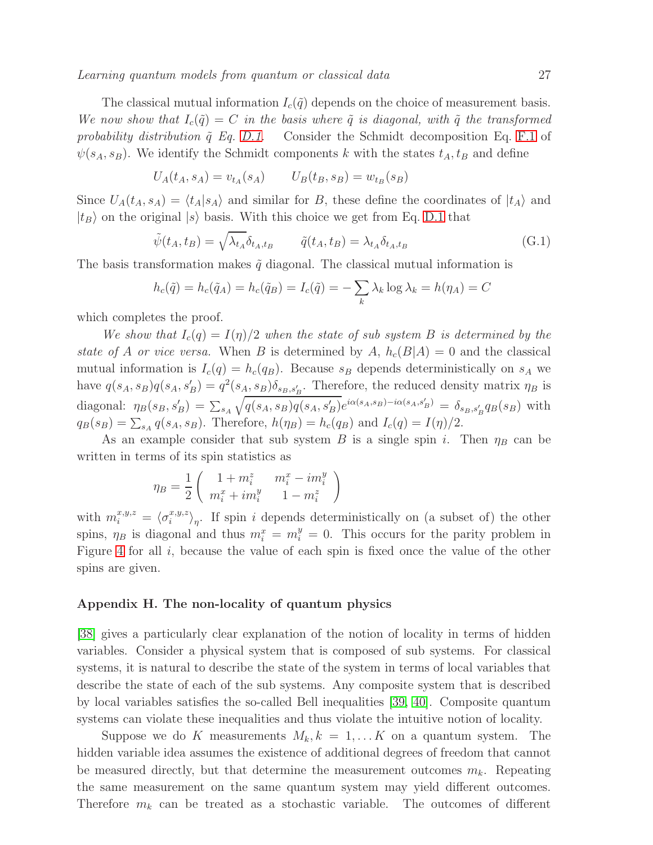The classical mutual information  $I_c(\tilde{q})$  depends on the choice of measurement basis. We now show that  $I_c(\tilde{q}) = C$  in the basis where  $\tilde{q}$  is diagonal, with  $\tilde{q}$  the transformed probability distribution  $\tilde{q}$  Eq. [D.1.](#page-23-2) Consider the Schmidt decomposition Eq. [F.1](#page-25-2) of  $\psi(s_A, s_B)$ . We identify the Schmidt components k with the states  $t_A, t_B$  and define

$$
U_A(t_A, s_A) = v_{t_A}(s_A) \qquad U_B(t_B, s_B) = w_{t_B}(s_B)
$$

Since  $U_A(t_A, s_A) = \langle t_A|s_A\rangle$  and similar for B, these define the coordinates of  $|t_A\rangle$  and  $|t_B\rangle$  on the original  $|s\rangle$  basis. With this choice we get from Eq. [D.1](#page-23-2) that

$$
\tilde{\psi}(t_A, t_B) = \sqrt{\lambda_{t_A} \delta_{t_A, t_B}} \qquad \tilde{q}(t_A, t_B) = \lambda_{t_A} \delta_{t_A, t_B}
$$
\n(G.1)

The basis transformation makes  $\tilde{q}$  diagonal. The classical mutual information is

$$
h_c(\tilde{q}) = h_c(\tilde{q}_A) = h_c(\tilde{q}_B) = I_c(\tilde{q}) = -\sum_k \lambda_k \log \lambda_k = h(\eta_A) = C
$$

which completes the proof.

We show that  $I_c(q) = I(q)/2$  when the state of sub system B is determined by the state of A or vice versa. When B is determined by A,  $h_c(B|A) = 0$  and the classical mutual information is  $I_c(q) = h_c(q_B)$ . Because  $s_B$  depends deterministically on  $s_A$  we have  $q(s_A, s_B)q(s_A, s'_B) = q^2(s_A, s_B)\delta_{s_B, s'_B}$ . Therefore, the reduced density matrix  $\eta_B$  is diagonal:  $\eta_B(s_B, s'_B) = \sum_{s_A}$  $\sqrt{q(s_A, s_B)q(s_A, s'_B)}e^{i\alpha(s_A, s_B) - i\alpha(s_A, s'_B)} = \delta_{s_B, s'_B}q_B(s_B)$  with  $q_B(s_B) = \sum_{s_A} q(s_A, s_B)$ . Therefore,  $h(\eta_B) = h_c(q_B)$  and  $I_c(q) = I(\eta)/2$ .

As an example consider that sub system B is a single spin i. Then  $\eta_B$  can be written in terms of its spin statistics as

$$
\eta_B = \frac{1}{2} \left( \begin{array}{cc} 1 + m_i^z & m_i^x - i m_i^y \\ m_i^x + i m_i^y & 1 - m_i^z \end{array} \right)
$$

with  $m_i^{x,y,z} = \langle \sigma_i^{x,y,z} \rangle$  $\binom{x,y,z}{i}$ , If spin *i* depends deterministically on (a subset of) the other spins,  $\eta_B$  is diagonal and thus  $m_i^x = m_i^y = 0$ . This occurs for the parity problem in Figure [4](#page-11-3) for all  $i$ , because the value of each spin is fixed once the value of the other spins are given.

# <span id="page-26-0"></span>Appendix H. The non-locality of quantum physics

[\[38\]](#page-21-6) gives a particularly clear explanation of the notion of locality in terms of hidden variables. Consider a physical system that is composed of sub systems. For classical systems, it is natural to describe the state of the system in terms of local variables that describe the state of each of the sub systems. Any composite system that is described by local variables satisfies the so-called Bell inequalities [\[39,](#page-21-7) [40\]](#page-21-8). Composite quantum systems can violate these inequalities and thus violate the intuitive notion of locality.

Suppose we do K measurements  $M_k, k = 1, \ldots K$  on a quantum system. The hidden variable idea assumes the existence of additional degrees of freedom that cannot be measured directly, but that determine the measurement outcomes  $m_k$ . Repeating the same measurement on the same quantum system may yield different outcomes. Therefore  $m_k$  can be treated as a stochastic variable. The outcomes of different